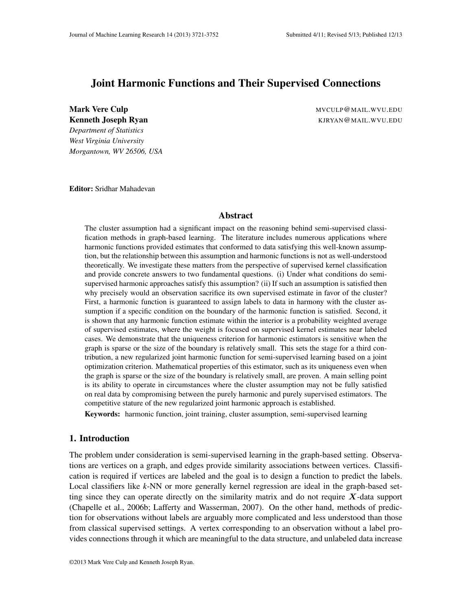# Joint Harmonic Functions and Their Supervised Connections

Mark Vere Culp Mathematic Culp MVCULP@MAIL.WVU.EDU

**Kenneth Joseph Ryan** Kuryan Kuryang Maleksian Kuryang Maleksian Kuryang Maleksian Kuryang Maleksian Kuryang Male

*Department of Statistics West Virginia University Morgantown, WV 26506, USA*

Editor: Sridhar Mahadevan

## Abstract

The cluster assumption had a significant impact on the reasoning behind semi-supervised classification methods in graph-based learning. The literature includes numerous applications where harmonic functions provided estimates that conformed to data satisfying this well-known assumption, but the relationship between this assumption and harmonic functions is not as well-understood theoretically. We investigate these matters from the perspective of supervised kernel classification and provide concrete answers to two fundamental questions. (i) Under what conditions do semisupervised harmonic approaches satisfy this assumption? (ii) If such an assumption is satisfied then why precisely would an observation sacrifice its own supervised estimate in favor of the cluster? First, a harmonic function is guaranteed to assign labels to data in harmony with the cluster assumption if a specific condition on the boundary of the harmonic function is satisfied. Second, it is shown that any harmonic function estimate within the interior is a probability weighted average of supervised estimates, where the weight is focused on supervised kernel estimates near labeled cases. We demonstrate that the uniqueness criterion for harmonic estimators is sensitive when the graph is sparse or the size of the boundary is relatively small. This sets the stage for a third contribution, a new regularized joint harmonic function for semi-supervised learning based on a joint optimization criterion. Mathematical properties of this estimator, such as its uniqueness even when the graph is sparse or the size of the boundary is relatively small, are proven. A main selling point is its ability to operate in circumstances where the cluster assumption may not be fully satisfied on real data by compromising between the purely harmonic and purely supervised estimators. The competitive stature of the new regularized joint harmonic approach is established.

Keywords: harmonic function, joint training, cluster assumption, semi-supervised learning

# 1. Introduction

The problem under consideration is semi-supervised learning in the graph-based setting. Observations are vertices on a graph, and edges provide similarity associations between vertices. Classification is required if vertices are labeled and the goal is to design a function to predict the labels. Local classifiers like *k*-NN or more generally kernel regression are ideal in the graph-based setting since they can operate directly on the similarity matrix and do not require  $X$ -data support (Chapelle et al., 2006b; Lafferty and Wasserman, 2007). On the other hand, methods of prediction for observations without labels are arguably more complicated and less understood than those from classical supervised settings. A vertex corresponding to an observation without a label provides connections through it which are meaningful to the data structure, and unlabeled data increase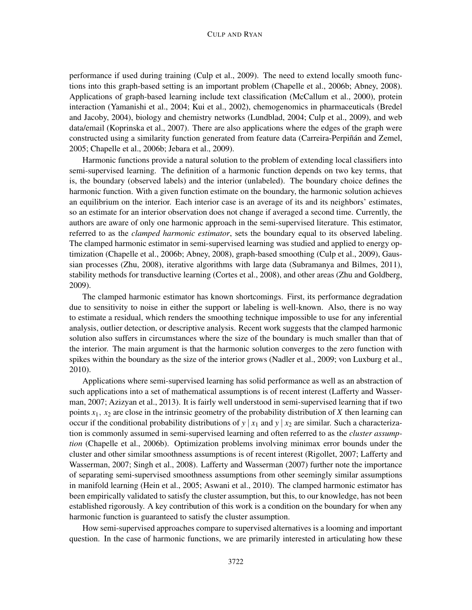#### CULP AND RYAN

performance if used during training (Culp et al., 2009). The need to extend locally smooth functions into this graph-based setting is an important problem (Chapelle et al., 2006b; Abney, 2008). Applications of graph-based learning include text classification (McCallum et al., 2000), protein interaction (Yamanishi et al., 2004; Kui et al., 2002), chemogenomics in pharmaceuticals (Bredel and Jacoby, 2004), biology and chemistry networks (Lundblad, 2004; Culp et al., 2009), and web data/email (Koprinska et al., 2007). There are also applications where the edges of the graph were constructed using a similarity function generated from feature data (Carreira-Perpiñán and Zemel, 2005; Chapelle et al., 2006b; Jebara et al., 2009).

Harmonic functions provide a natural solution to the problem of extending local classifiers into semi-supervised learning. The definition of a harmonic function depends on two key terms, that is, the boundary (observed labels) and the interior (unlabeled). The boundary choice defines the harmonic function. With a given function estimate on the boundary, the harmonic solution achieves an equilibrium on the interior. Each interior case is an average of its and its neighbors' estimates, so an estimate for an interior observation does not change if averaged a second time. Currently, the authors are aware of only one harmonic approach in the semi-supervised literature. This estimator, referred to as the *clamped harmonic estimator*, sets the boundary equal to its observed labeling. The clamped harmonic estimator in semi-supervised learning was studied and applied to energy optimization (Chapelle et al., 2006b; Abney, 2008), graph-based smoothing (Culp et al., 2009), Gaussian processes (Zhu, 2008), iterative algorithms with large data (Subramanya and Bilmes, 2011), stability methods for transductive learning (Cortes et al., 2008), and other areas (Zhu and Goldberg, 2009).

The clamped harmonic estimator has known shortcomings. First, its performance degradation due to sensitivity to noise in either the support or labeling is well-known. Also, there is no way to estimate a residual, which renders the smoothing technique impossible to use for any inferential analysis, outlier detection, or descriptive analysis. Recent work suggests that the clamped harmonic solution also suffers in circumstances where the size of the boundary is much smaller than that of the interior. The main argument is that the harmonic solution converges to the zero function with spikes within the boundary as the size of the interior grows (Nadler et al., 2009; von Luxburg et al., 2010).

Applications where semi-supervised learning has solid performance as well as an abstraction of such applications into a set of mathematical assumptions is of recent interest (Lafferty and Wasserman, 2007; Azizyan et al., 2013). It is fairly well understood in semi-supervised learning that if two points  $x_1$ ,  $x_2$  are close in the intrinsic geometry of the probability distribution of *X* then learning can occur if the conditional probability distributions of  $y | x_1$  and  $y | x_2$  are similar. Such a characterization is commonly assumed in semi-supervised learning and often referred to as the *cluster assumption* (Chapelle et al., 2006b). Optimization problems involving minimax error bounds under the cluster and other similar smoothness assumptions is of recent interest (Rigollet, 2007; Lafferty and Wasserman, 2007; Singh et al., 2008). Lafferty and Wasserman (2007) further note the importance of separating semi-supervised smoothness assumptions from other seemingly similar assumptions in manifold learning (Hein et al., 2005; Aswani et al., 2010). The clamped harmonic estimator has been empirically validated to satisfy the cluster assumption, but this, to our knowledge, has not been established rigorously. A key contribution of this work is a condition on the boundary for when any harmonic function is guaranteed to satisfy the cluster assumption.

How semi-supervised approaches compare to supervised alternatives is a looming and important question. In the case of harmonic functions, we are primarily interested in articulating how these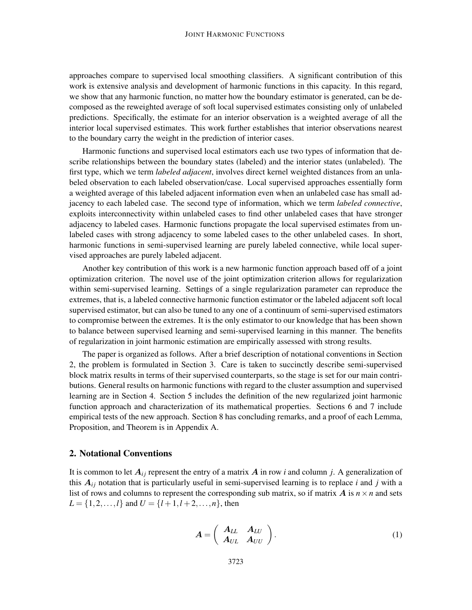approaches compare to supervised local smoothing classifiers. A significant contribution of this work is extensive analysis and development of harmonic functions in this capacity. In this regard, we show that any harmonic function, no matter how the boundary estimator is generated, can be decomposed as the reweighted average of soft local supervised estimates consisting only of unlabeled predictions. Specifically, the estimate for an interior observation is a weighted average of all the interior local supervised estimates. This work further establishes that interior observations nearest to the boundary carry the weight in the prediction of interior cases.

Harmonic functions and supervised local estimators each use two types of information that describe relationships between the boundary states (labeled) and the interior states (unlabeled). The first type, which we term *labeled adjacent*, involves direct kernel weighted distances from an unlabeled observation to each labeled observation/case. Local supervised approaches essentially form a weighted average of this labeled adjacent information even when an unlabeled case has small adjacency to each labeled case. The second type of information, which we term *labeled connective*, exploits interconnectivity within unlabeled cases to find other unlabeled cases that have stronger adjacency to labeled cases. Harmonic functions propagate the local supervised estimates from unlabeled cases with strong adjacency to some labeled cases to the other unlabeled cases. In short, harmonic functions in semi-supervised learning are purely labeled connective, while local supervised approaches are purely labeled adjacent.

Another key contribution of this work is a new harmonic function approach based off of a joint optimization criterion. The novel use of the joint optimization criterion allows for regularization within semi-supervised learning. Settings of a single regularization parameter can reproduce the extremes, that is, a labeled connective harmonic function estimator or the labeled adjacent soft local supervised estimator, but can also be tuned to any one of a continuum of semi-supervised estimators to compromise between the extremes. It is the only estimator to our knowledge that has been shown to balance between supervised learning and semi-supervised learning in this manner. The benefits of regularization in joint harmonic estimation are empirically assessed with strong results.

The paper is organized as follows. After a brief description of notational conventions in Section 2, the problem is formulated in Section 3. Care is taken to succinctly describe semi-supervised block matrix results in terms of their supervised counterparts, so the stage is set for our main contributions. General results on harmonic functions with regard to the cluster assumption and supervised learning are in Section 4. Section 5 includes the definition of the new regularized joint harmonic function approach and characterization of its mathematical properties. Sections 6 and 7 include empirical tests of the new approach. Section 8 has concluding remarks, and a proof of each Lemma, Proposition, and Theorem is in Appendix A.

# 2. Notational Conventions

It is common to let  $A_{ij}$  represent the entry of a matrix  $A$  in row *i* and column *j*. A generalization of this  $A_{ij}$  notation that is particularly useful in semi-supervised learning is to replace *i* and *j* with a list of rows and columns to represent the corresponding sub matrix, so if matrix  $\vec{A}$  is  $n \times n$  and sets  $L = \{1, 2, \ldots, l\}$  and  $U = \{l + 1, l + 2, \ldots, n\}$ , then

$$
A = \left(\begin{array}{cc} A_{LL} & A_{LU} \\ A_{UL} & A_{UU} \end{array}\right).
$$
 (1)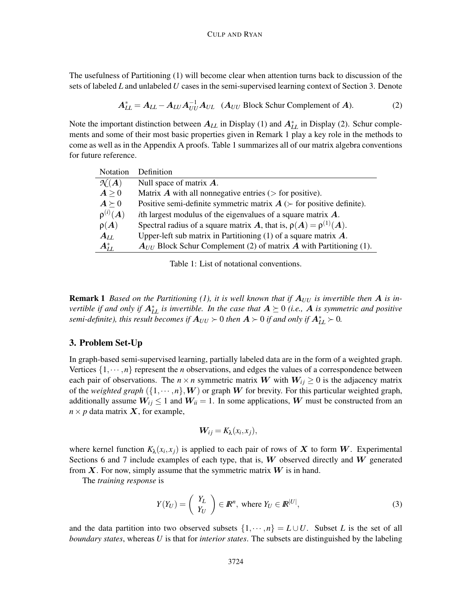The usefulness of Partitioning (1) will become clear when attention turns back to discussion of the sets of labeled *L* and unlabeled *U* cases in the semi-supervised learning context of Section 3. Denote

$$
A_{LL}^* = A_{LL} - A_{LU} A_{UU}^{-1} A_{UL} \quad (A_{UU} \text{ Block Schur Complement of } A). \tag{2}
$$

Note the important distinction between  $A_{LL}$  in Display (1) and  $A_{LL}^*$  in Display (2). Schur complements and some of their most basic properties given in Remark 1 play a key role in the methods to come as well as in the Appendix A proofs. Table 1 summarizes all of our matrix algebra conventions for future reference.

| Notation                 | Definition                                                                        |
|--------------------------|-----------------------------------------------------------------------------------|
| $\mathcal{N}(A)$         | Null space of matrix $\boldsymbol{A}$ .                                           |
| A > 0                    | Matrix $\vec{A}$ with all nonnegative entries ( $>$ for positive).                |
| $\boldsymbol{A} \succ 0$ | Positive semi-definite symmetric matrix $A \rightarrow$ for positive definite).   |
| $\rho^{(i)}(A)$          | ith largest modulus of the eigenvalues of a square matrix $A$ .                   |
| $\rho(A)$                | Spectral radius of a square matrix A, that is, $\rho(A) = \rho^{(1)}(A)$ .        |
| $A_{LL}$                 | Upper-left sub matrix in Partitioning $(1)$ of a square matrix $\boldsymbol{A}$ . |
| $A_{LI.}^*$              | $A_{III}$ Block Schur Complement (2) of matrix A with Partitioning (1).           |

Table 1: List of notational conventions.

**Remark 1** *Based on the Partitioning (1), it is well known that if*  $A_{UU}$  *is invertible then* A *is invertible if and only if*  $A_{LL}^*$  *is invertible. In the case that*  $A \succeq 0$  *(i.e.,*  $A$  *is symmetric and positive semi-definite), this result becomes if*  $A_{UU} \succ 0$  *then*  $A \succ 0$  *if and only if*  $A_{LL}^* \succ 0$ *.* 

## 3. Problem Set-Up

In graph-based semi-supervised learning, partially labeled data are in the form of a weighted graph. Vertices  $\{1,\dots,n\}$  represent the *n* observations, and edges the values of a correspondence between each pair of observations. The  $n \times n$  symmetric matrix W with  $W_{ij} \geq 0$  is the adjacency matrix of the *weighted graph*  $(\{1,\dots,n\}, W)$  or graph W for brevity. For this particular weighted graph, additionally assume  $W_{ij} \leq 1$  and  $W_{ii} = 1$ . In some applications, W must be constructed from an  $n \times p$  data matrix  $X$ , for example,

$$
\mathbf{W}_{ij}=K_{\lambda}(x_i,x_j),
$$

where kernel function  $K_{\lambda}(x_i, x_j)$  is applied to each pair of rows of X to form W. Experimental Sections 6 and 7 include examples of each type, that is,  $W$  observed directly and  $W$  generated from  $X$ . For now, simply assume that the symmetric matrix  $W$  is in hand.

The *training response* is

$$
Y(Y_U) = \begin{pmatrix} Y_L \\ Y_U \end{pmatrix} \in \mathbb{R}^n, \text{ where } Y_U \in \mathbb{R}^{|U|},
$$
 (3)

and the data partition into two observed subsets  $\{1, \dots, n\} = L \cup U$ . Subset *L* is the set of all *boundary states*, whereas *U* is that for *interior states*. The subsets are distinguished by the labeling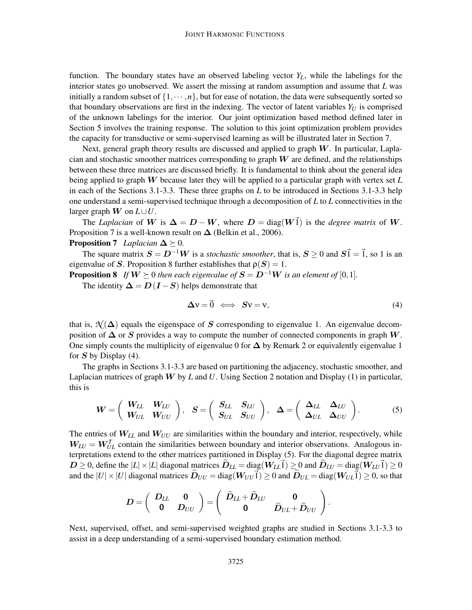function. The boundary states have an observed labeling vector *YL*, while the labelings for the interior states go unobserved. We assert the missing at random assumption and assume that *L* was initially a random subset of  $\{1,\dots,n\}$ , but for ease of notation, the data were subsequently sorted so that boundary observations are first in the indexing. The vector of latent variables  $Y_U$  is comprised of the unknown labelings for the interior. Our joint optimization based method defined later in Section 5 involves the training response. The solution to this joint optimization problem provides the capacity for transductive or semi-supervised learning as will be illustrated later in Section 7.

Next, general graph theory results are discussed and applied to graph  $W$ . In particular, Laplacian and stochastic smoother matrices corresponding to graph  $W$  are defined, and the relationships between these three matrices are discussed briefly. It is fundamental to think about the general idea being applied to graph W because later they will be applied to a particular graph with vertex set *L* in each of the Sections 3.1-3.3. These three graphs on *L* to be introduced in Sections 3.1-3.3 help one understand a semi-supervised technique through a decomposition of *L* to *L* connectivities in the larger graph  $W$  on  $L \cup U$ .

The *Laplacian* of W is  $\Delta = D - W$ , where  $D = \text{diag}(W\vec{1})$  is the *degree matrix* of W. Proposition 7 is a well-known result on  $\Delta$  (Belkin et al., 2006).

# **Proposition 7** *Laplacian*  $\Delta \geq 0$ *.*

The square matrix  $S = D^{-1}W$  is a *stochastic smoother*, that is,  $S \ge 0$  and  $S\vec{1} = \vec{1}$ , so 1 is an eigenvalue of S. Proposition 8 further establishes that  $\rho(S) = 1$ .

**Proposition 8** *If*  $W \succeq 0$  *then each eigenvalue of*  $S = D^{-1}W$  *is an element of* [0,1]*.* 

The identity  $\Delta = D(I - S)$  helps demonstrate that

$$
\Delta v = \vec{0} \iff Sv = v,\tag{4}
$$

that is,  $\mathcal{N}(\Delta)$  equals the eigenspace of S corresponding to eigenvalue 1. An eigenvalue decomposition of  $\Delta$  or S provides a way to compute the number of connected components in graph W. One simply counts the multiplicity of eigenvalue 0 for  $\Delta$  by Remark 2 or equivalently eigenvalue 1 for  $S$  by Display (4).

The graphs in Sections 3.1-3.3 are based on partitioning the adjacency, stochastic smoother, and Laplacian matrices of graph W by *L* and *U*. Using Section 2 notation and Display (1) in particular, this is

$$
\boldsymbol{W} = \left(\begin{array}{cc} \boldsymbol{W}_{LL} & \boldsymbol{W}_{LU} \\ \boldsymbol{W}_{UL} & \boldsymbol{W}_{UU} \end{array}\right), \quad \boldsymbol{S} = \left(\begin{array}{cc} \boldsymbol{S}_{LL} & \boldsymbol{S}_{LU} \\ \boldsymbol{S}_{UL} & \boldsymbol{S}_{UU} \end{array}\right), \quad \boldsymbol{\Delta} = \left(\begin{array}{cc} \boldsymbol{\Delta}_{LL} & \boldsymbol{\Delta}_{LU} \\ \boldsymbol{\Delta}_{UL} & \boldsymbol{\Delta}_{UU} \end{array}\right). \tag{5}
$$

The entries of  $W_{LL}$  and  $W_{UU}$  are similarities within the boundary and interior, respectively, while  $W_{LU} = W_{UL}^T$  contain the similarities between boundary and interior observations. Analogous interpretations extend to the other matrices partitioned in Display (5). For the diagonal degree matrix  $D \geq 0$ , define the  $|L| \times |L|$  diagonal matrices  $D_{LL} = \text{diag}(W_{LL}I) \geq 0$  and  $D_{LU} = \text{diag}(W_{LU}I) \geq 0$ and the  $|U| \times |U|$  diagonal matrices  $\widetilde{D}_{UU} = \text{diag}(W_{UU} \vec{1}) \ge 0$  and  $\widetilde{D}_{UL} = \text{diag}(W_{UL} \vec{1}) \ge 0$ , so that

$$
D=\left(\begin{array}{cc} D_{LL} & \mathbf{0} \\ \mathbf{0} & D_{UU} \end{array}\right)=\left(\begin{array}{cc} \widetilde{D}_{LL}+\widetilde{D}_{LU} & \mathbf{0} \\ \mathbf{0} & \widetilde{D}_{UL}+\widetilde{D}_{UU} \end{array}\right).
$$

Next, supervised, offset, and semi-supervised weighted graphs are studied in Sections 3.1-3.3 to assist in a deep understanding of a semi-supervised boundary estimation method.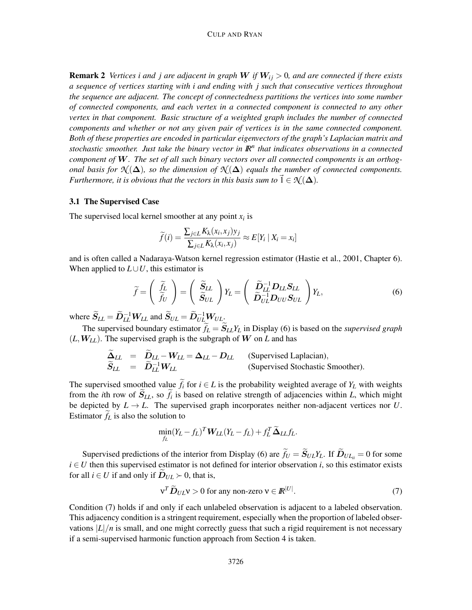**Remark 2** *Vertices i and j are adjacent in graph W if*  $W_{ij} > 0$ , and are connected if there exists *a sequence of vertices starting with i and ending with j such that consecutive vertices throughout the sequence are adjacent. The concept of connectedness partitions the vertices into some number of connected components, and each vertex in a connected component is connected to any other vertex in that component. Basic structure of a weighted graph includes the number of connected components and whether or not any given pair of vertices is in the same connected component. Both of these properties are encoded in particular eigenvectors of the graph's Laplacian matrix and stochastic smoother. Just take the binary vector in IR<sup>n</sup> that indicates observations in a connected component of* W*. The set of all such binary vectors over all connected components is an orthogonal basis for*  $\mathcal{N}(\Delta)$ *, so the dimension of*  $\mathcal{N}(\Delta)$  *equals the number of connected components. Furthermore, it is obvious that the vectors in this basis sum to*  $\vec{1} \in \mathcal{N}(\Delta)$ *.* 

#### 3.1 The Supervised Case

The supervised local kernel smoother at any point  $x_i$  is

$$
\widetilde{f}(i) = \frac{\sum_{j \in L} K_{\lambda}(x_i, x_j) y_j}{\sum_{j \in L} K_{\lambda}(x_i, x_j)} \approx E[Y_i \mid X_i = x_i]
$$

and is often called a Nadaraya-Watson kernel regression estimator (Hastie et al., 2001, Chapter 6). When applied to  $L \cup U$ , this estimator is

$$
\widetilde{f} = \left(\begin{array}{c}\widetilde{f}_L\\ \widetilde{f}_U\end{array}\right) = \left(\begin{array}{c}\widetilde{S}_{LL} \\ \widetilde{S}_{UL}\end{array}\right)Y_L = \left(\begin{array}{c}\widetilde{D}_{LL}^{-1}D_{LL}S_{LL} \\ \widetilde{D}_{UL}^{-1}D_{UU}S_{UL}\end{array}\right)Y_L,\tag{6}
$$

where  $\widetilde{S}_{LL} = \widetilde{D}_{LL}^{-1} W_{LL}$  and  $\widetilde{S}_{UL} = \widetilde{D}_{UL}^{-1} W_{UL}$ .

The supervised boundary estimator  $f_L = S_{LL}Y_L$  in Display (6) is based on the *supervised graph*  $(L, W_{LL})$ . The supervised graph is the subgraph of W on L and has

$$
\widetilde{\Delta}_{LL} = \widetilde{D}_{LL} - W_{LL} = \Delta_{LL} - D_{LL}
$$
 (Supervised Laplacian),  
\n
$$
\widetilde{S}_{LL} = \widetilde{D}_{LL}^{-1} W_{LL}
$$
 (Supervised Stochastic Smoother).

The supervised smoothed value  $\tilde{f}_i$  for  $i \in L$  is the probability weighted average of  $Y_L$  with weights from the *i*th row of  $S_{LL}$ , so  $f_i$  is based on relative strength of adjacencies within *L*, which might be depicted by  $L \rightarrow L$ . The supervised graph incorporates neither non-adjacent vertices nor *U*. Estimator  $f<sub>L</sub>$  is also the solution to

$$
\min_{f_L} (Y_L - f_L)^T \mathbf{W}_{LL} (Y_L - f_L) + f_L^T \widetilde{\Delta}_{LL} f_L.
$$

Supervised predictions of the interior from Display (6) are  $\tilde{f}_U = \tilde{S}_{UL} Y_L$ . If  $\tilde{D}_{UL_{ii}} = 0$  for some  $i \in U$  then this supervised estimator is not defined for interior observation *i*, so this estimator exists for all *i*  $\in U$  if and only if  $\overline{D}_{UL} \succ 0$ , that is,

$$
\mathbf{v}^T \widetilde{\mathbf{D}}_{UL} \mathbf{v} > 0 \text{ for any non-zero } \mathbf{v} \in \mathbb{R}^{|U|}.
$$
 (7)

Condition (7) holds if and only if each unlabeled observation is adjacent to a labeled observation. This adjacency condition is a stringent requirement, especially when the proportion of labeled observations  $|L|/n$  is small, and one might correctly guess that such a rigid requirement is not necessary if a semi-supervised harmonic function approach from Section 4 is taken.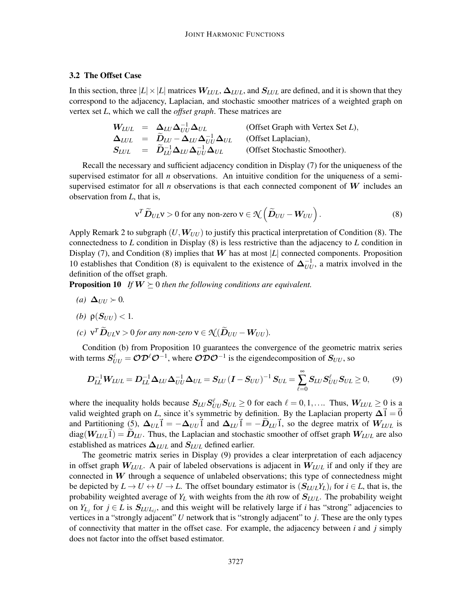## 3.2 The Offset Case

In this section, three  $|L| \times |L|$  matrices  $W_{LUL}$ ,  $\Delta_{LUL}$ , and  $S_{LUL}$  are defined, and it is shown that they correspond to the adjacency, Laplacian, and stochastic smoother matrices of a weighted graph on vertex set *L*, which we call the *offset graph*. These matrices are

$$
\begin{array}{rcl}\nW_{LUL} & = & \Delta_{LU} \Delta_{UU}^{-1} \Delta_{UL} \qquad \qquad \text{(Offset Graph with Vertex Set } L), \\
\Delta_{LUL} & = & \widetilde{D}_{LU} - \Delta_{LU} \Delta_{UU}^{-1} \Delta_{UL} \qquad \qquad \text{(Offset Laplacian)}, \\
S_{LUL} & = & \widetilde{D}_{LU}^{-1} \Delta_{LU} \Delta_{UL}^{-1} \Delta_{UL} \qquad \qquad \text{(Offset Stochastic Smoother)}.\n\end{array}
$$

Recall the necessary and sufficient adjacency condition in Display (7) for the uniqueness of the supervised estimator for all *n* observations. An intuitive condition for the uniqueness of a semisupervised estimator for all  $n$  observations is that each connected component of  $W$  includes an observation from *L*, that is,

$$
\mathbf{v}^T \widetilde{\mathbf{D}}_{UL} \mathbf{v} > 0 \text{ for any non-zero } \mathbf{v} \in \mathcal{K} \left( \widetilde{\mathbf{D}}_{UU} - \mathbf{W}_{UU} \right). \tag{8}
$$

Apply Remark 2 to subgraph  $(U, W_{UU})$  to justify this practical interpretation of Condition (8). The connectedness to *L* condition in Display (8) is less restrictive than the adjacency to *L* condition in Display (7), and Condition (8) implies that  $W$  has at most  $|L|$  connected components. Proposition 10 establishes that Condition (8) is equivalent to the existence of  $\Delta_{UU}^{-1}$ , a matrix involved in the definition of the offset graph.

**Proposition 10** If  $W \succeq 0$  then the following conditions are equivalent.

- $(a)$  △*UU* ≻ 0*.*
- *(b)*  $\rho(S_{III}) < 1$ .
- *(c)*  $v^T \widetilde{D}_{UL} v > 0$  *for any non-zero*  $v \in \mathcal{N}(\widetilde{D}_{UU} W_{UU})$ *.*

Condition (b) from Proposition 10 guarantees the convergence of the geometric matrix series with terms  $S_{UU}^{\ell} = \mathcal{O}\mathcal{D}^{\ell}\mathcal{O}^{-1}$ , where  $\mathcal{O}\mathcal{D}\mathcal{O}^{-1}$  is the eigendecomposition of  $S_{UU}$ , so

$$
D_{LL}^{-1}W_{LUL} = D_{LL}^{-1}\Delta_{LU}\Delta_{UU}^{-1}\Delta_{UL} = S_{LU}(I - S_{UU})^{-1}S_{UL} = \sum_{\ell=0}^{\infty}S_{LU}S_{UU}^{\ell}S_{UL} \ge 0,
$$
 (9)

where the inequality holds because  $S_{LU}S_{UU}^{\ell}S_{UL}\geq 0$  for each  $\ell=0,1,...$  Thus,  $W_{LUL}\geq 0$  is a valid weighted graph on *L*, since it's symmetric by definition. By the Laplacian property  $\Delta \vec{1} = \vec{0}$ and Partitioning (5),  $\Delta_{UL}\vec{1} = -\Delta_{UU}\vec{1}$  and  $\Delta_{LU}\vec{1} = -\vec{D}_{LU}\vec{1}$ , so the degree matrix of  $W_{LUL}$  is  $diag(W_{LUL}\vec{1}) = \widetilde{D}_{LU}$ . Thus, the Laplacian and stochastic smoother of offset graph  $W_{LUL}$  are also established as matrices  $\Delta_{LUL}$  and  $S_{LUL}$  defined earlier.

The geometric matrix series in Display (9) provides a clear interpretation of each adjacency in offset graph W*LUL*. A pair of labeled observations is adjacent in W*LUL* if and only if they are connected in  $W$  through a sequence of unlabeled observations; this type of connectedness might be depicted by  $L \to U \leftrightarrow U \to L$ . The offset boundary estimator is  $(S_{LUL}Y_L)_i$  for  $i \in L$ , that is, the probability weighted average of *Y<sup>L</sup>* with weights from the *i*th row of S*LUL*. The probability weight on  $Y_{L_j}$  for  $j \in L$  is  $S_{LUL_{ij}}$ , and this weight will be relatively large if *i* has "strong" adjacencies to vertices in a "strongly adjacent" *U* network that is "strongly adjacent" to *j*. These are the only types of connectivity that matter in the offset case. For example, the adjacency between *i* and *j* simply does not factor into the offset based estimator.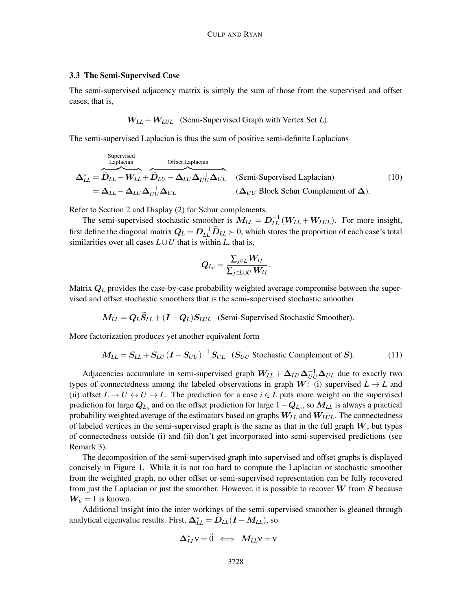## 3.3 The Semi-Supervised Case

The semi-supervised adjacency matrix is simply the sum of those from the supervised and offset cases, that is,

$$
W_{LL} + W_{LUL}
$$
 (Semi-Supervised Graph with Vertex Set *L*).

The semi-supervised Laplacian is thus the sum of positive semi-definite Laplacians

$$
\Delta_{LL}^* = \overbrace{\widetilde{D}_{LL}}^{\text{Supervised}} - \overbrace{\widetilde{D}_{LL}}^{\text{Supervised}} - \overbrace{\widetilde{D}_{LU}}^{\text{Offset Laplacian}} - \Delta_{LU} \Delta_{UU}^{-1} \Delta_{UL}
$$
 (Semi-Supervised Laplacian)  
= 
$$
\Delta_{LL} - \Delta_{LU} \Delta_{UU}^{-1} \Delta_{UL}
$$
 (
$$
\Delta_{UU} \text{ Block Schur Complement of } \Delta
$$
). (10)

Refer to Section 2 and Display (2) for Schur complements.

The semi-supervised stochastic smoother is  $M_{LL} = D_{LL}^{-1} (W_{LL} + W_{LUL})$ . For more insight, first define the diagonal matrix  $Q_L = D_{LL}^{-1} \widetilde{D}_{LL} \succ 0$ , which stores the proportion of each case's total similarities over all cases  $L \cup U$  that is within  $L$ , that is,

$$
\bm{Q}_{L_{ii}} = \frac{\sum_{j \in L} \bm{W}_{ij}}{\sum_{j \in L \cup U} \bm{W}_{ij}}.
$$

Matrix  $Q_L$  provides the case-by-case probability weighted average compromise between the supervised and offset stochastic smoothers that is the semi-supervised stochastic smoother

 $M_{LL} = Q_L \widetilde{S}_{LL} + (I - Q_L)S_{LUL}$  (Semi-Supervised Stochastic Smoother).

More factorization produces yet another equivalent form

$$
M_{LL} = S_{LL} + S_{LU} (I - S_{UU})^{-1} S_{UL} \quad (S_{UU} \text{ Stochastic Complement of } S). \tag{11}
$$

Adjacencies accumulate in semi-supervised graph  $W_{LL} + \Delta_{LU}\Delta_{UU}^{-1}\Delta_{UL}$  due to exactly two types of connectedness among the labeled observations in graph  $W$ : (i) supervised  $L \rightarrow L$  and (ii) offset  $L \to U \leftrightarrow U \to L$ . The prediction for a case  $i \in L$  puts more weight on the supervised prediction for large Q*Lii* and on the offset prediction for large 1−Q*Lii* , so M*LL* is always a practical probability weighted average of the estimators based on graphs  $W_{LL}$  and  $W_{LUL}$ . The connectedness of labeled vertices in the semi-supervised graph is the same as that in the full graph  $W$ , but types of connectedness outside (i) and (ii) don't get incorporated into semi-supervised predictions (see Remark 3).

The decomposition of the semi-supervised graph into supervised and offset graphs is displayed concisely in Figure 1. While it is not too hard to compute the Laplacian or stochastic smoother from the weighted graph, no other offset or semi-supervised representation can be fully recovered from just the Laplacian or just the smoother. However, it is possible to recover  $W$  from  $S$  because  $W_{ii} = 1$  is known.

Additional insight into the inter-workings of the semi-supervised smoother is gleaned through analytical eigenvalue results. First,  $\Delta_{LL}^{\star} = D_{LL}(I - M_{LL})$ , so

$$
\Delta_{LL}^{\star} v = \vec{0} \iff M_{LL} v = v
$$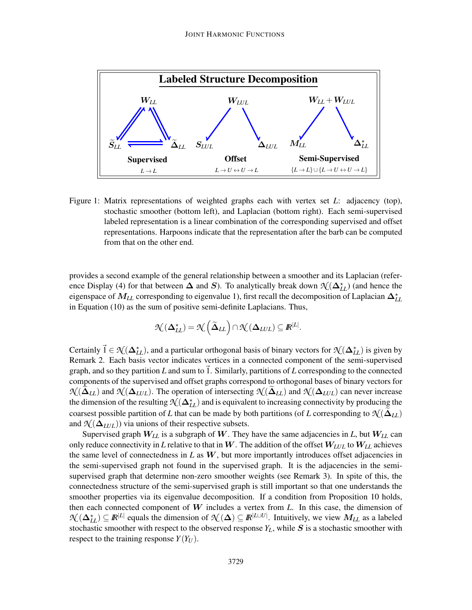

Figure 1: Matrix representations of weighted graphs each with vertex set *L*: adjacency (top), stochastic smoother (bottom left), and Laplacian (bottom right). Each semi-supervised labeled representation is a linear combination of the corresponding supervised and offset representations. Harpoons indicate that the representation after the barb can be computed from that on the other end.

provides a second example of the general relationship between a smoother and its Laplacian (reference Display (4) for that between  $\Delta$  and *S*). To analytically break down  $\mathcal{N}(\Delta_{LL}^{\star})$  (and hence the eigenspace of  $M_{LL}$  corresponding to eigenvalue 1), first recall the decomposition of Laplacian  $\Delta_{LL}^{\star}$ in Equation (10) as the sum of positive semi-definite Laplacians. Thus,

$$
\mathcal{N}(\boldsymbol{\Delta}^{\star}_{LL}) = \mathcal{N}\left(\widetilde{\boldsymbol{\Delta}}_{LL}\right)\cap \mathcal{N}(\boldsymbol{\Delta}_{LUL})\subseteq I\!\!R^{\left|L\right|}.
$$

Certainly  $\vec{l} \in \mathcal{N}(\Delta_{LL}^{\star})$ , and a particular orthogonal basis of binary vectors for  $\mathcal{N}(\Delta_{LL}^{\star})$  is given by Remark 2. Each basis vector indicates vertices in a connected component of the semi-supervised graph, and so they partition *L* and sum to~1. Similarly, partitions of *L* corresponding to the connected components of the supervised and offset graphs correspond to orthogonal bases of binary vectors for  $\mathcal{N}(\Delta_{LL})$  and  $\mathcal{N}(\Delta_{LUL})$ . The operation of intersecting  $\mathcal{N}(\Delta_{LL})$  and  $\mathcal{N}(\Delta_{LUL})$  can never increase the dimension of the resulting  $\mathcal{N}(\Delta_{LL}^{\star})$  and is equivalent to increasing connectivity by producing the coarsest possible partition of *L* that can be made by both partitions (of *L* corresponding to  $\mathcal{N}(\Delta_{LL})$ and  $\mathcal{N}(\Delta_{LUL})$  via unions of their respective subsets.

Supervised graph  $W_{LL}$  is a subgraph of W. They have the same adjacencies in *L*, but  $W_{LL}$  can only reduce connectivity in *L* relative to that in W. The addition of the offset  $W_{LLL}$  to  $W_{LL}$  achieves the same level of connectedness in  $L$  as  $W$ , but more importantly introduces offset adjacencies in the semi-supervised graph not found in the supervised graph. It is the adjacencies in the semisupervised graph that determine non-zero smoother weights (see Remark 3). In spite of this, the connectedness structure of the semi-supervised graph is still important so that one understands the smoother properties via its eigenvalue decomposition. If a condition from Proposition 10 holds, then each connected component of  $W$  includes a vertex from  $L$ . In this case, the dimension of  $\mathcal{N}(\Delta_{LL}^{\star}) \subseteq \mathbb{R}^{|L|}$  equals the dimension of  $\mathcal{N}(\Delta) \subseteq \mathbb{R}^{|L \cup U|}$ . Intuitively, we view  $M_{LL}$  as a labeled stochastic smoother with respect to the observed response  $Y_L$ , while  $S$  is a stochastic smoother with respect to the training response  $Y(Y_U)$ .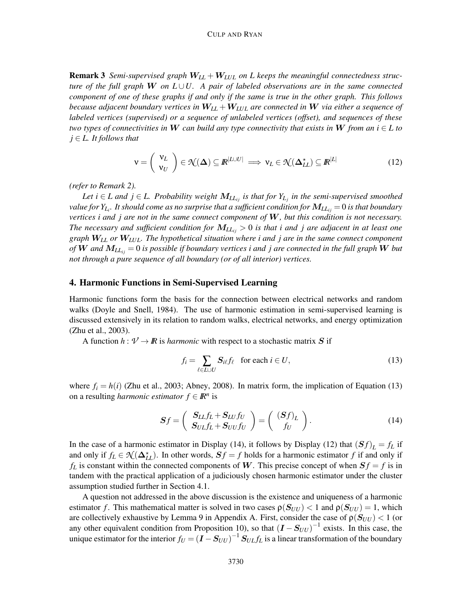**Remark 3** *Semi-supervised graph*  $W_{LL} + W_{LUL}$  *on L keeps the meaningful connectedness structure of the full graph* W *on L* ∪*U. A pair of labeled observations are in the same connected component of one of these graphs if and only if the same is true in the other graph. This follows because adjacent boundary vertices in* W*LL* +W*LUL are connected in* W *via either a sequence of labeled vertices (supervised) or a sequence of unlabeled vertices (offset), and sequences of these two types of connectivities in* W *can build any type connectivity that exists in* W *from an i*  $\in$  *L to j* ∈ *L. It follows that*

$$
\mathbf{v} = \left(\begin{array}{c} \mathbf{v}_L \\ \mathbf{v}_U \end{array}\right) \in \mathcal{N}(\Delta) \subseteq \mathbb{R}^{|L \cup U|} \implies \mathbf{v}_L \in \mathcal{N}(\Delta_{LL}^{\star}) \subseteq \mathbb{R}^{|L|}
$$
(12)

*(refer to Remark 2).*

*Let*  $i$  ∈ *L* and  $j$  ∈ *L.* Probability weight  $M_{LL_{ij}}$  is that for  $Y_{L_j}$  in the semi-supervised smoothed *value for YL<sup>i</sup> . It should come as no surprise that a sufficient condition for* M*LLi j* = 0 *is that boundary vertices i and j are not in the same connect component of* W*, but this condition is not necessary. The necessary and sufficient condition for*  $M_{LL_{ij}} > 0$  *is that i and j are adjacent in at least one graph* W*LL or* W*LUL. The hypothetical situation where i and j are in the same connect component of* W *and* M*LLi j* = 0 *is possible if boundary vertices i and j are connected in the full graph* W *but not through a pure sequence of all boundary (or of all interior) vertices.*

## 4. Harmonic Functions in Semi-Supervised Learning

Harmonic functions form the basis for the connection between electrical networks and random walks (Doyle and Snell, 1984). The use of harmonic estimation in semi-supervised learning is discussed extensively in its relation to random walks, electrical networks, and energy optimization (Zhu et al., 2003).

A function  $h: V \to \mathbb{R}$  is *harmonic* with respect to a stochastic matrix S if

$$
f_i = \sum_{\ell \in L \cup U} S_{i\ell} f_\ell \quad \text{for each } i \in U,
$$
\n(13)

where  $f_i = h(i)$  (Zhu et al., 2003; Abney, 2008). In matrix form, the implication of Equation (13) on a resulting *harmonic estimator*  $f \in \mathbb{R}^n$  is

$$
Sf = \left(\begin{array}{c} S_{LL}f_L + S_{LU}f_U \\ S_{UL}f_L + S_{UU}f_U \end{array}\right) = \left(\begin{array}{c} (Sf)_L \\ f_U \end{array}\right). \tag{14}
$$

In the case of a harmonic estimator in Display (14), it follows by Display (12) that  $(Sf)_L = f_L$  if and only if  $f_L \in \mathcal{N}(\Delta_{LL}^*)$ . In other words,  $Sf = f$  holds for a harmonic estimator f if and only if  $f_L$  is constant within the connected components of W. This precise concept of when  $S_f = f$  is in tandem with the practical application of a judiciously chosen harmonic estimator under the cluster assumption studied further in Section 4.1.

A question not addressed in the above discussion is the existence and uniqueness of a harmonic estimator *f*. This mathematical matter is solved in two cases  $\rho(S_{UU}) < 1$  and  $\rho(S_{UU}) = 1$ , which are collectively exhaustive by Lemma 9 in Appendix A. First, consider the case of  $\rho(S_{UU}) < 1$  (or any other equivalent condition from Proposition 10), so that  $(I - S_{UU})^{-1}$  exists. In this case, the unique estimator for the interior  $f_U = (\bm{I} - \bm{S}_{UU})^{-1} \bm{S}_{UL} f_L$  is a linear transformation of the boundary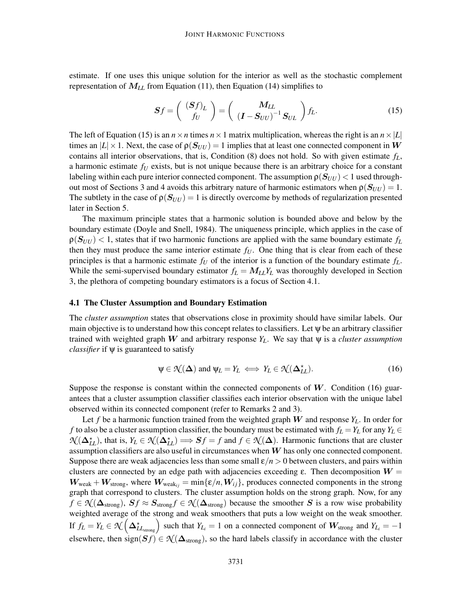estimate. If one uses this unique solution for the interior as well as the stochastic complement representation of M*LL* from Equation (11), then Equation (14) simplifies to

$$
\mathbf{S}f = \left(\begin{array}{c} (\mathbf{S}f)_L \\ f_U \end{array}\right) = \left(\begin{array}{c} \mathbf{M}_{LL} \\ (\mathbf{I} - \mathbf{S}_{UU})^{-1} \mathbf{S}_{UL} \end{array}\right) f_L. \tag{15}
$$

The left of Equation (15) is an  $n \times n$  times  $n \times 1$  matrix multiplication, whereas the right is an  $n \times |L|$ times an  $|L| \times 1$ . Next, the case of  $\rho(S_{UU}) = 1$  implies that at least one connected component in W contains all interior observations, that is, Condition (8) does not hold. So with given estimate *fL*, a harmonic estimate *f<sup>U</sup>* exists, but is not unique because there is an arbitrary choice for a constant labeling within each pure interior connected component. The assumption  $\rho(S_{UU}) < 1$  used throughout most of Sections 3 and 4 avoids this arbitrary nature of harmonic estimators when  $\rho(S_{UU}) = 1$ . The subtlety in the case of  $\rho(S_{UU}) = 1$  is directly overcome by methods of regularization presented later in Section 5.

The maximum principle states that a harmonic solution is bounded above and below by the boundary estimate (Doyle and Snell, 1984). The uniqueness principle, which applies in the case of  $\rho(S_{UU})$  < 1, states that if two harmonic functions are applied with the same boundary estimate  $f_L$ then they must produce the same interior estimate  $f_U$ . One thing that is clear from each of these principles is that a harmonic estimate *f<sup>U</sup>* of the interior is a function of the boundary estimate *fL*. While the semi-supervised boundary estimator  $f_L = M_{LL} Y_L$  was thoroughly developed in Section 3, the plethora of competing boundary estimators is a focus of Section 4.1.

#### 4.1 The Cluster Assumption and Boundary Estimation

The *cluster assumption* states that observations close in proximity should have similar labels. Our main objective is to understand how this concept relates to classifiers. Let  $\psi$  be an arbitrary classifier trained with weighted graph  $W$  and arbitrary response  $Y_L$ . We say that  $\psi$  is a *cluster assumption classifier* if ψ is guaranteed to satisfy

$$
\Psi \in \mathcal{N}(\Delta) \text{ and } \Psi_L = Y_L \iff Y_L \in \mathcal{N}(\Delta_{LL}^{\star}). \tag{16}
$$

Suppose the response is constant within the connected components of  $W$ . Condition (16) guarantees that a cluster assumption classifier classifies each interior observation with the unique label observed within its connected component (refer to Remarks 2 and 3).

Let f be a harmonic function trained from the weighted graph  $W$  and response  $Y_L$ . In order for *f* to also be a cluster assumption classifier, the boundary must be estimated with  $f_L = Y_L$  for any  $Y_L \in$  $\mathcal{N}(\Delta_{LL}^{\star})$ , that is,  $Y_L \in \mathcal{N}(\Delta_{LL}^{\star}) \Longrightarrow Sf = f$  and  $f \in \mathcal{N}(\Delta)$ . Harmonic functions that are cluster assumption classifiers are also useful in circumstances when  $W$  has only one connected component. Suppose there are weak adjacencies less than some small  $\varepsilon/n > 0$  between clusters, and pairs within clusters are connected by an edge path with adjacencies exceeding  $\varepsilon$ . Then decomposition  $W =$  $W_{weak} + W_{strong}$ , where  $W_{weak_{ij}} = min\{\epsilon/n, W_{ij}\}$ , produces connected components in the strong graph that correspond to clusters. The cluster assumption holds on the strong graph. Now, for any  $f \in \mathcal{N}(\Delta_{\text{strong}}), Sf \approx S_{\text{strong}}f \in \mathcal{N}(\Delta_{\text{strong}})$  because the smoother S is a row wise probability weighted average of the strong and weak smoothers that puts a low weight on the weak smoother. If  $f_L = Y_L \in \mathcal{N}\left(\Delta_{LL_{\text{strong}}}^{\star}\right)$  such that  $Y_{L_i} = 1$  on a connected component of  $W_{\text{strong}}$  and  $Y_{L_i} = -1$ elsewhere, then  $sign(\mathbf{S} f) \in \mathcal{N}(\mathbf{\Delta}_{strong})$ , so the hard labels classify in accordance with the cluster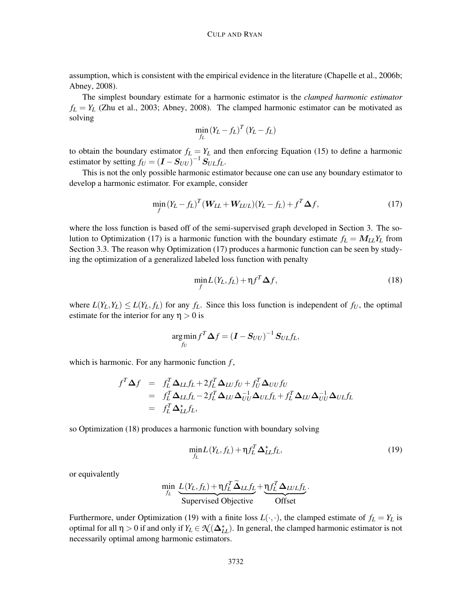assumption, which is consistent with the empirical evidence in the literature (Chapelle et al., 2006b; Abney, 2008).

The simplest boundary estimate for a harmonic estimator is the *clamped harmonic estimator*  $f_L = Y_L$  (Zhu et al., 2003; Abney, 2008). The clamped harmonic estimator can be motivated as solving

$$
\min_{f_L} (Y_L - f_L)^T (Y_L - f_L)
$$

to obtain the boundary estimator  $f_L = Y_L$  and then enforcing Equation (15) to define a harmonic estimator by setting  $f_U = (I - S_{UU})^{-1} S_{UL} f_L$ .

This is not the only possible harmonic estimator because one can use any boundary estimator to develop a harmonic estimator. For example, consider

$$
\min_{f} (Y_L - f_L)^T (W_{LL} + W_{LUL}) (Y_L - f_L) + f^T \Delta f, \tag{17}
$$

where the loss function is based off of the semi-supervised graph developed in Section 3. The solution to Optimization (17) is a harmonic function with the boundary estimate  $f_L = M_{LL} Y_L$  from Section 3.3. The reason why Optimization (17) produces a harmonic function can be seen by studying the optimization of a generalized labeled loss function with penalty

$$
\min_{f} L(Y_L, f_L) + \eta f^T \Delta f,\tag{18}
$$

where  $L(Y_L, Y_L) \leq L(Y_L, f_L)$  for any  $f_L$ . Since this loss function is independent of  $f_U$ , the optimal estimate for the interior for any  $\eta > 0$  is

$$
\underset{f_U}{\arg\min} f^T \Delta f = (\boldsymbol{I} - \boldsymbol{S}_{UU})^{-1} \boldsymbol{S}_{UL} f_L,
$$

which is harmonic. For any harmonic function  $f$ ,

$$
f^T \Delta f = f_L^T \Delta_{LL} f_L + 2f_L^T \Delta_{LU} f_U + f_U^T \Delta_{UU} f_U
$$
  
=  $f_L^T \Delta_{LL} f_L - 2f_L^T \Delta_{LU} \Delta_{UU}^{-1} \Delta_{UL} f_L + f_L^T \Delta_{LU} \Delta_{UU}^{-1} \Delta_{UL} f_L$   
=  $f_L^T \Delta_{LL}^* f_L,$ 

so Optimization (18) produces a harmonic function with boundary solving

$$
\min_{f_L} L(Y_L, f_L) + \eta f_L^T \Delta_{LL}^* f_L,\tag{19}
$$

or equivalently

$$
\min_{f_L} \underbrace{L(Y_L, f_L) + \eta f_L^T \widetilde{\Delta}_{LL} f_L}_{\text{Supervised Objective}} + \underbrace{\eta f_L^T \Delta_{LUL} f_L}_{\text{Offset}}.
$$

Furthermore, under Optimization (19) with a finite loss  $L(\cdot, \cdot)$ , the clamped estimate of  $f_L = Y_L$  is optimal for all  $\eta > 0$  if and only if  $Y_L \in \mathcal{N}(\Delta_{LL}^*)$ . In general, the clamped harmonic estimator is not necessarily optimal among harmonic estimators.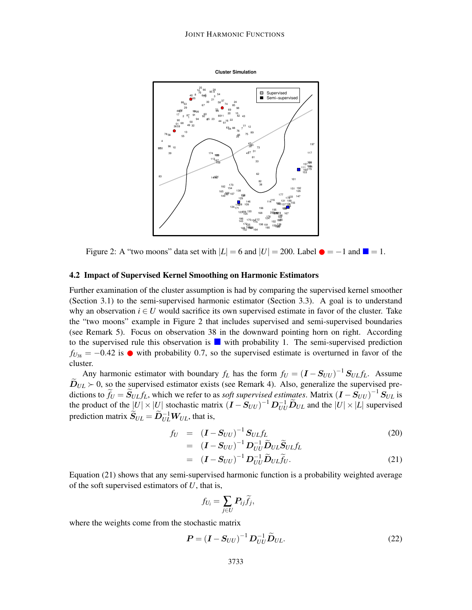

Figure 2: A "two moons" data set with  $|L| = 6$  and  $|U| = 200$ . Label  $\bullet = -1$  and  $\bullet = 1$ .

#### 4.2 Impact of Supervised Kernel Smoothing on Harmonic Estimators

Further examination of the cluster assumption is had by comparing the supervised kernel smoother (Section 3.1) to the semi-supervised harmonic estimator (Section 3.3). A goal is to understand why an observation  $i \in U$  would sacrifice its own supervised estimate in favor of the cluster. Take the "two moons" example in Figure 2 that includes supervised and semi-supervised boundaries (see Remark 5). Focus on observation 38 in the downward pointing horn on right. According to the supervised rule this observation is  $\blacksquare$  with probability 1. The semi-supervised prediction  $f_{U_{38}} = -0.42$  is  $\bullet$  with probability 0.7, so the supervised estimate is overturned in favor of the cluster.

Any harmonic estimator with boundary  $f_L$  has the form  $f_U = (\mathbf{I} - \mathbf{S}_{UU})^{-1} \mathbf{S}_{UL} f_L$ . Assume  $\widetilde{D}_{UL} \succ 0$ , so the supervised estimator exists (see Remark 4). Also, generalize the supervised predictions to  $\widetilde{f}_U = \widetilde{S}_{UL} f_L$ , which we refer to as *soft supervised estimates*. Matrix  $(I - \widetilde{S}_{UU})^{-1} S_{UL}$  is the product of the  $|U| \times |U|$  stochastic matrix  $(I - S_{UU})^{-1} D_{UU}^{-1} \tilde{D}_{UL}$  and the  $|U| \times |L|$  supervised prediction matrix  $\widetilde{S}_{UL} = \widetilde{D}_{UL}^{-1} W_{UL}$ , that is,

$$
f_U = (I - S_{UU})^{-1} S_{UL} f_L
$$
  
= 
$$
(I - S_{UU})^{-1} D_{UU}^{-1} \widetilde{D}_{UL} \widetilde{S}_{UL} f_L
$$
 (20)

$$
= \left( \boldsymbol{I} - \boldsymbol{S}_{UU} \right)^{-1} \boldsymbol{D}_{UU}^{-1} \widetilde{\boldsymbol{D}}_{UL} \widetilde{\boldsymbol{f}}_{U} . \tag{21}
$$

Equation (21) shows that any semi-supervised harmonic function is a probability weighted average of the soft supervised estimators of *U*, that is,

$$
f_{U_i}=\sum_{j\in U}P_{ij}\widetilde{f}_j,
$$

where the weights come from the stochastic matrix

$$
P = (I - S_{UU})^{-1} D_{UU}^{-1} \tilde{D}_{UL}.
$$
 (22)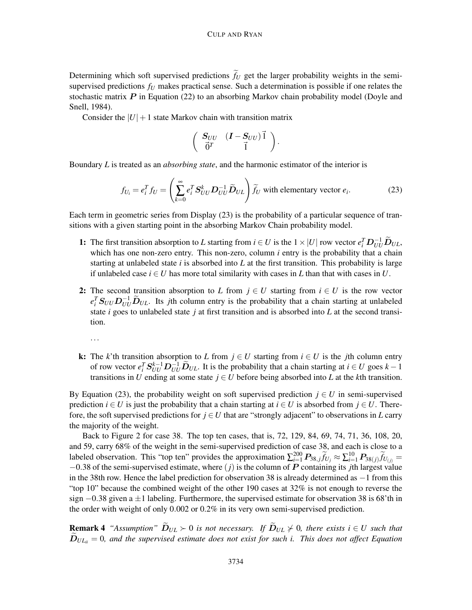Determining which soft supervised predictions  $f_U$  get the larger probability weights in the semisupervised predictions  $f_U$  makes practical sense. Such a determination is possible if one relates the stochastic matrix  $P$  in Equation (22) to an absorbing Markov chain probability model (Doyle and Snell, 1984).

Consider the  $|U|+1$  state Markov chain with transition matrix

$$
\left(\begin{array}{cc} \boldsymbol{S}_{UU} & (\boldsymbol{I}-\boldsymbol{S}_{UU})\,\vec{1}\\ \vec{0}^T & \vec{1}\end{array}\right).
$$

Boundary *L* is treated as an *absorbing state*, and the harmonic estimator of the interior is

$$
f_{U_i} = e_i^T f_U = \left(\sum_{k=0}^{\infty} e_i^T S_{UU}^k \mathbf{D}_{UU}^{-1} \widetilde{\mathbf{D}}_{UL}\right) \widetilde{f}_U \text{ with elementary vector } e_i.
$$
 (23)

Each term in geometric series from Display (23) is the probability of a particular sequence of transitions with a given starting point in the absorbing Markov Chain probability model.

- 1: The first transition absorption to *L* starting from  $i \in U$  is the  $1 \times |U|$  row vector  $e_i^T D_{UU}^{-1} \widetilde{D}_{UL}$ , which has one non-zero entry. This non-zero, column *i* entry is the probability that a chain starting at unlabeled state *i* is absorbed into *L* at the first transition. This probability is large if unlabeled case  $i \in U$  has more total similarity with cases in L than that with cases in U.
- 2: The second transition absorption to *L* from  $j \in U$  starting from  $i \in U$  is the row vector  $e_i^T S_{UU} D_{UU}^{-1} \tilde{D}_{UL}$ . Its *j*th column entry is the probability that a chain starting at unlabeled state *i* goes to unlabeled state *j* at first transition and is absorbed into *L* at the second transition.

k: The *k*'th transition absorption to *L* from  $j \in U$  starting from  $i \in U$  is the *j*th column entry of row vector  $e_i^T S_{UU}^{k-1} D_{UU}^{-1} \widetilde{D}_{UL}$ . It is the probability that a chain starting at  $i \in U$  goes  $k-1$ transitions in *U* ending at some state  $j \in U$  before being absorbed into *L* at the *k*th transition.

By Equation (23), the probability weight on soft supervised prediction  $j \in U$  in semi-supervised prediction *i*  $\in U$  is just the probability that a chain starting at *i*  $\in U$  is absorbed from *j*  $\in U$ . Therefore, the soft supervised predictions for  $j \in U$  that are "strongly adjacent" to observations in *L* carry the majority of the weight.

Back to Figure 2 for case 38. The top ten cases, that is, 72, 129, 84, 69, 74, 71, 36, 108, 20, and 59, carry 68% of the weight in the semi-supervised prediction of case 38, and each is close to a labeled observation. This "top ten" provides the approximation  $\sum_{i=1}^{200} P_{38,j} \tilde{f}_{U_j} \approx \sum_{i=1}^{10} P_{38(j)} \tilde{f}_{U_{(j)}} =$ −0.38 of the semi-supervised estimate, where (*j*) is the column of P containing its *j*th largest value in the 38th row. Hence the label prediction for observation 38 is already determined as −1 from this "top 10" because the combined weight of the other 190 cases at 32% is not enough to reverse the sign  $-0.38$  given a  $\pm 1$  labeling. Furthermore, the supervised estimate for observation 38 is 68'th in the order with weight of only 0.002 or 0.2% in its very own semi-supervised prediction.

**Remark 4** "Assumption"  $\widetilde{D}_{UL} \succ 0$  is not necessary. If  $\widetilde{D}_{UL} \not\sim 0$ , there exists  $i \in U$  such that  $\tilde{D}_{UL_{ii}} = 0$ , and the supervised estimate does not exist for such i. This does not affect Equation

<sup>···</sup>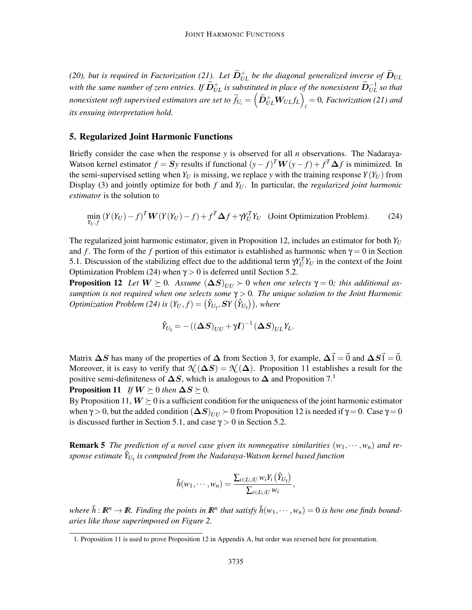(20), but is required in Factorization (21). Let  $\widetilde{D}_{UL}^+$  be the diagonal generalized inverse of  $\widetilde{D}_{UL}$ with the same number of zero entries. If  $\widetilde{D}_{UL}^+$  is substituted in place of the nonexistent  $\widetilde{D}_{UL}^{-1}$  so that  $\widetilde{D}_{UL}$  *nonexistent soft supervised estimators are set to*  $\widetilde{f}_{U_i} = \left( \widetilde{D}_{UL}^+ \bm{W}_{UL} f_L \right)$ *i* = 0*, Factorization (21) and its ensuing interpretation hold.*

# 5. Regularized Joint Harmonic Functions

Briefly consider the case when the response *y* is observed for all *n* observations. The Nadaraya-Watson kernel estimator  $f = Sy$  results if functional  $(y - f)^{T}W(y - f) + f^{T}\Delta f$  is minimized. In the semi-supervised setting when  $Y_U$  is missing, we replace *y* with the training response  $Y(Y_U)$  from Display (3) and jointly optimize for both *f* and *Y<sup>U</sup>* . In particular, the *regularized joint harmonic estimator* is the solution to

$$
\min_{Y_U, f} (Y(Y_U) - f)^T \mathbf{W} (Y(Y_U) - f) + f^T \Delta f + \gamma Y_U^T Y_U \quad \text{(Joint Optimization Problem)}.
$$
 (24)

The regularized joint harmonic estimator, given in Proposition 12, includes an estimator for both  $Y_U$ and *f*. The form of the *f* portion of this estimator is established as harmonic when  $\gamma = 0$  in Section 5.1. Discussion of the stabilizing effect due to the additional term  $\gamma Y_U^T Y_U$  in the context of the Joint Optimization Problem (24) when  $\gamma > 0$  is deferred until Section 5.2.

**Proposition 12** Let  $W \succeq 0$ . Assume  $(\Delta S)_{UU} \succ 0$  when one selects  $\gamma = 0$ ; this additional as*sumption is not required when one selects some* γ > 0*. The unique solution to the Joint Harmonic*  $\mathit{Optimization\ Problem\ (24)\ is}\ (Y_U,f)=\left(\hat{Y}_{U_\gamma},\mathbf{S} Y\left(\hat{Y}_{U_\gamma}\right)\right),\ where$ 

$$
\hat{Y}_{U_{\gamma}} = -((\Delta S)_{UU} + \gamma I)^{-1} (\Delta S)_{UL} Y_L.
$$

Matrix  $\Delta S$  has many of the properties of  $\Delta$  from Section 3, for example,  $\Delta \vec{1} = \vec{0}$  and  $\Delta S \vec{1} = \vec{0}$ . Moreover, it is easy to verify that  $\mathcal{N}(\Delta S) = \mathcal{N}(\Delta)$ . Proposition 11 establishes a result for the positive semi-definiteness of  $\Delta S$ , which is analogous to  $\Delta$  and Proposition 7.<sup>1</sup>

**Proposition 11** *If*  $W \succeq 0$  *then*  $\Delta S \succeq 0$ *.* 

By Proposition 11,  $W \succeq 0$  is a sufficient condition for the uniqueness of the joint harmonic estimator when  $\gamma > 0$ , but the added condition  $(\Delta S)_{UU} > 0$  from Proposition 12 is needed if  $\gamma = 0$ . Case  $\gamma = 0$ is discussed further in Section 5.1, and case  $\gamma > 0$  in Section 5.2.

**Remark 5** *The prediction of a novel case given its nonnegative similarities*  $(w_1, \dots, w_n)$  *and response estimate Y*ˆ*U*<sup>γ</sup> *is computed from the Nadaraya-Watson kernel based function*

$$
\check{h}(w_1,\dots,w_n)=\frac{\sum_{i\in L\cup U}w_iY_i(\hat{Y}_{U_{\gamma}})}{\sum_{i\in L\cup U}w_i},
$$

*where*  $\check{h}: \mathbb{R}^n \to \mathbb{R}$ . Finding the points in  $\mathbb{R}^n$  that satisfy  $\check{h}(w_1,\dotsm,w_n) = 0$  is how one finds bound*aries like those superimposed on Figure 2.*

<sup>1.</sup> Proposition 11 is used to prove Proposition 12 in Appendix A, but order was reversed here for presentation.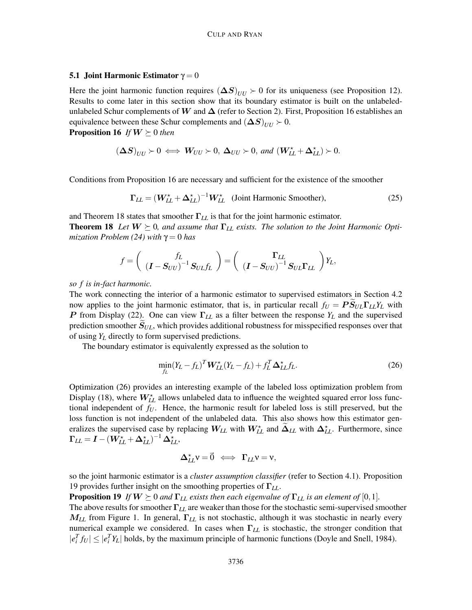## 5.1 Joint Harmonic Estimator  $γ = 0$

Here the joint harmonic function requires  $(\Delta S)_{UU}$  ≻ 0 for its uniqueness (see Proposition 12). Results to come later in this section show that its boundary estimator is built on the unlabeledunlabeled Schur complements of W and  $\Delta$  (refer to Section 2). First, Proposition 16 establishes an equivalence between these Schur complements and  $(\Delta S)_{UU}$  ≻ 0.

**Proposition 16** If  $W \succeq 0$  then

$$
(\Delta S)_{UU} \succ 0 \iff W_{UU} \succ 0, \ \Delta_{UU} \succ 0, \ and \ (W_{LL}^{\star} + \Delta_{LL}^{\star}) \succ 0.
$$

Conditions from Proposition 16 are necessary and sufficient for the existence of the smoother

$$
\Gamma_{LL} = (W_{LL}^{\star} + \Delta_{LL}^{\star})^{-1} W_{LL}^{\star}
$$
 (Joint Harmonic Smoother), (25)

and Theorem 18 states that smoother  $\Gamma_{LL}$  is that for the joint harmonic estimator. **Theorem 18** Let  $W \succeq 0$ , and assume that  $\Gamma_{LL}$  exists. The solution to the Joint Harmonic Opti*mization Problem (24) with* γ = 0 *has*

$$
f = \left(\begin{array}{c} f_L \\ (I - S_{UU})^{-1} S_{UL} f_L \end{array}\right) = \left(\begin{array}{c} \Gamma_{LL} \\ (I - S_{UU})^{-1} S_{UL} \Gamma_{LL} \end{array}\right) Y_L,
$$

*so f is in-fact harmonic.*

The work connecting the interior of a harmonic estimator to supervised estimators in Section 4.2 now applies to the joint harmonic estimator, that is, in particular recall  $f_U = PS_{UL} \Gamma_{LL} Y_L$  with P from Display (22). One can view Γ*LL* as a filter between the response *Y<sup>L</sup>* and the supervised prediction smoother  $S_{UL}$ , which provides additional robustness for misspecified responses over that of using *Y<sup>L</sup>* directly to form supervised predictions.

The boundary estimator is equivalently expressed as the solution to

$$
\min_{f_L} (Y_L - f_L)^T \boldsymbol{W}_{LL}^{\star} (Y_L - f_L) + f_L^T \boldsymbol{\Delta}_{LL}^{\star} f_L.
$$
\n(26)

Optimization (26) provides an interesting example of the labeled loss optimization problem from Display (18), where  $W_{LL}^{\star}$  allows unlabeled data to influence the weighted squared error loss functional independent of *f<sup>U</sup>* . Hence, the harmonic result for labeled loss is still preserved, but the loss function is not independent of the unlabeled data. This also shows how this estimator generalizes the supervised case by replacing  $W_{LL}$  with  $W_{LL}^*$  and  $\tilde{\Delta}_{LL}$  with  $\Delta_{LL}^*$ . Furthermore, since  $\boldsymbol{\Gamma}_{LL}=\boldsymbol{I}-(\boldsymbol{W}^{\star}_{LL}+\boldsymbol{\Delta}^{\star}_{LL})^{-1}\,\boldsymbol{\Delta}^{\star}_{LL},$ 

$$
\Delta_{LL}^{\star} v = \vec{0} \iff \Gamma_{LL} v = v,
$$

so the joint harmonic estimator is a *cluster assumption classifier* (refer to Section 4.1). Proposition 19 provides further insight on the smoothing properties of Γ*LL*.

**Proposition 19** *If*  $W \succeq 0$  *and*  $\Gamma_{LL}$  *exists then each eigenvalue of*  $\Gamma_{LL}$  *is an element of* [0,1]*.* The above results for smoother Γ*LL* are weaker than those for the stochastic semi-supervised smoother M*LL* from Figure 1. In general, Γ*LL* is not stochastic, although it was stochastic in nearly every numerical example we considered. In cases when Γ*LL* is stochastic, the stronger condition that  $|e_i^T f_U| \leq |e_i^T Y_L|$  holds, by the maximum principle of harmonic functions (Doyle and Snell, 1984).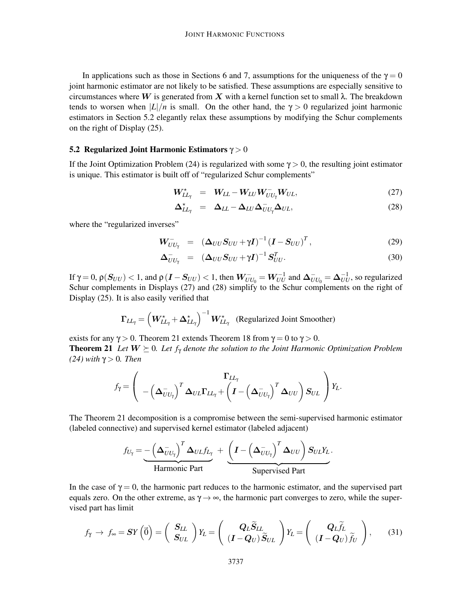In applications such as those in Sections 6 and 7, assumptions for the uniqueness of the  $\gamma = 0$ joint harmonic estimator are not likely to be satisfied. These assumptions are especially sensitive to circumstances where W is generated from X with a kernel function set to small  $\lambda$ . The breakdown tends to worsen when  $|L|/n$  is small. On the other hand, the  $\gamma > 0$  regularized joint harmonic estimators in Section 5.2 elegantly relax these assumptions by modifying the Schur complements on the right of Display (25).

## 5.2 Regularized Joint Harmonic Estimators  $\gamma > 0$

If the Joint Optimization Problem (24) is regularized with some  $\gamma > 0$ , the resulting joint estimator is unique. This estimator is built off of "regularized Schur complements"

$$
W_{LL_{\gamma}}^{\star} = W_{LL} - W_{LU} W_{UU_{\gamma}}^- W_{UL}, \qquad (27)
$$

$$
\Delta_{LL_{\gamma}}^{\star} = \Delta_{LL} - \Delta_{LU} \Delta_{UU_{\gamma}}^{-} \Delta_{UL}, \qquad (28)
$$

where the "regularized inverses"

$$
W_{UU_{\gamma}}^{-} = \left(\Delta_{UU}S_{UU} + \gamma I\right)^{-1}\left(I - S_{UU}\right)^{T},\tag{29}
$$

$$
\Delta_{UU_{\gamma}}^{-} = (\Delta_{UU} S_{UU} + \gamma I)^{-1} S_{UU}^{T}.
$$
\n(30)

If γ = 0,  $\rho(S_{UU}) < 1$ , and  $\rho(I - S_{UU}) < 1$ , then  $W_{UU_0}^- = W_{UU}^{-1}$  and  $\Delta_{UU_0}^- = \Delta_{UU}^{-1}$ , so regularized Schur complements in Displays (27) and (28) simplify to the Schur complements on the right of Display (25). It is also easily verified that

$$
\Gamma_{LL_{\gamma}} = \left( W_{LL_{\gamma}}^{\star} + \Delta_{LL_{\gamma}}^{\star} \right)^{-1} W_{LL_{\gamma}}^{\star}
$$
 (Regularized Joint Smoother)

exists for any  $\gamma > 0$ . Theorem 21 extends Theorem 18 from  $\gamma = 0$  to  $\gamma > 0$ . **Theorem 21** Let  $W \succeq 0$ . Let  $f_Y$  denote the solution to the Joint Harmonic Optimization Problem *(24) with* γ > 0*. Then*

$$
f_{\gamma} = \left(\begin{array}{c} \Gamma_{LL_{\gamma}} \\ -\left(\boldsymbol{\Delta}_{UU_{\gamma}}\right)^{T} \boldsymbol{\Delta}_{UL} \Gamma_{LL_{\gamma}} + \left(\boldsymbol{I} - \left(\boldsymbol{\Delta}_{UU_{\gamma}}\right)^{T} \boldsymbol{\Delta}_{UU}\right) \boldsymbol{S}_{UL} \end{array}\right) Y_{L}.
$$

The Theorem 21 decomposition is a compromise between the semi-supervised harmonic estimator (labeled connective) and supervised kernel estimator (labeled adjacent)

$$
f_{U_{\gamma}} = \underbrace{-\left(\Delta_{UU_{\gamma}}^{-}\right)^{T} \Delta_{UL} f_{L_{\gamma}}}_{\text{Harmonic Part}} + \underbrace{\left(I - \left(\Delta_{UU_{\gamma}}^{-}\right)^{T} \Delta_{UU}\right) S_{UL} Y_{L}}_{\text{Supervised Part}}.
$$

In the case of  $\gamma = 0$ , the harmonic part reduces to the harmonic estimator, and the supervised part equals zero. On the other extreme, as  $\gamma \rightarrow \infty$ , the harmonic part converges to zero, while the supervised part has limit

$$
f_{\gamma} \to f_{\infty} = \mathbf{S}Y(\vec{0}) = \left(\begin{array}{c} \mathbf{S}_{LL} \\ \mathbf{S}_{UL} \end{array}\right)Y_L = \left(\begin{array}{c} \mathbf{Q}_L \widetilde{\mathbf{S}}_{LL} \\ (\mathbf{I} - \mathbf{Q}_U) \widetilde{\mathbf{S}}_{UL} \end{array}\right)Y_L = \left(\begin{array}{c} \mathbf{Q}_L \widetilde{f}_L \\ (\mathbf{I} - \mathbf{Q}_U) \widetilde{f}_U \end{array}\right),\tag{31}
$$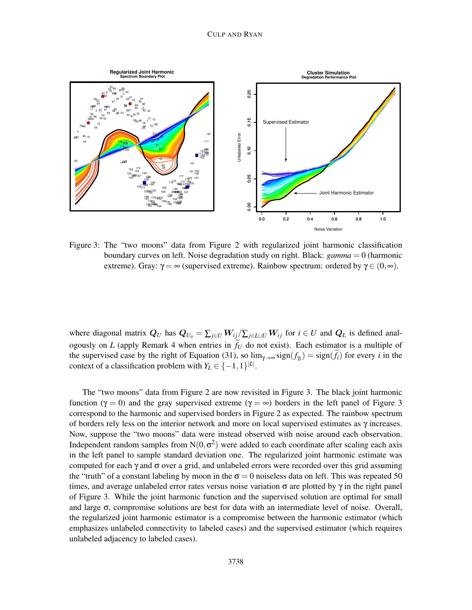#### CULP AND RYAN



Figure 3: The "two moons" data from Figure 2 with regularized joint harmonic classification boundary curves on left. Noise degradation study on right. Black: *gamma* = 0 (harmonic extreme). Gray:  $\gamma = \infty$  (supervised extreme). Rainbow spectrum: ordered by  $\gamma \in (0, \infty)$ .

where diagonal matrix  $Q_U$  has  $Q_{U_{ii}} = \sum_{j \in U} W_{ij} / \sum_{j \in L \cup U} W_{ij}$  for  $i \in U$  and  $Q_L$  is defined analogously on *L* (apply Remark 4 when entries in  $\tilde{f}_U$  do not exist). Each estimator is a multiple of the supervised case by the right of Equation (31), so  $\lim_{\gamma \to \infty} sign(f_i) = sign(f_i)$  for every *i* in the context of a classification problem with  $Y_L \in \{-1, 1\}^{|L|}$ .

The "two moons" data from Figure 2 are now revisited in Figure 3. The black joint harmonic function ( $\gamma = 0$ ) and the gray supervised extreme ( $\gamma = \infty$ ) borders in the left panel of Figure 3 correspond to the harmonic and supervised borders in Figure 2 as expected. The rainbow spectrum of borders rely less on the interior network and more on local supervised estimates as  $\gamma$  increases. Now, suppose the "two moons" data were instead observed with noise around each observation. Independent random samples from  $N(0, \sigma^2)$  were added to each coordinate after scaling each axis in the left panel to sample standard deviation one. The regularized joint harmonic estimate was computed for each  $\gamma$  and  $\sigma$  over a grid, and unlabeled errors were recorded over this grid assuming the "truth" of a constant labeling by moon in the  $\sigma = 0$  noiseless data on left. This was repeated 50 times, and average unlabeled error rates versus noise variation  $\sigma$  are plotted by  $\gamma$  in the right panel of Figure 3. While the joint harmonic function and the supervised solution are optimal for small and large  $\sigma$ , compromise solutions are best for data with an intermediate level of noise. Overall, the regularized joint harmonic estimator is a compromise between the harmonic estimator (which emphasizes unlabeled connectivity to labeled cases) and the supervised estimator (which requires unlabeled adjacency to labeled cases).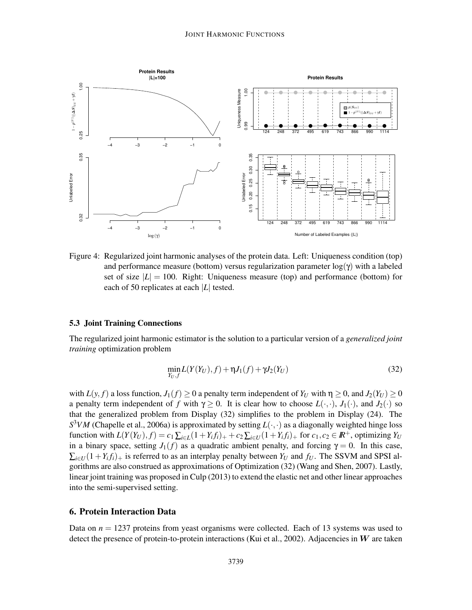

Figure 4: Regularized joint harmonic analyses of the protein data. Left: Uniqueness condition (top) and performance measure (bottom) versus regularization parameter  $log(\gamma)$  with a labeled set of size  $|L| = 100$ . Right: Uniqueness measure (top) and performance (bottom) for each of 50 replicates at each |*L*| tested.

## 5.3 Joint Training Connections

The regularized joint harmonic estimator is the solution to a particular version of a *generalized joint training* optimization problem

$$
\min_{Y_U, f} L(Y(Y_U), f) + \eta J_1(f) + \gamma J_2(Y_U)
$$
\n(32)

with  $L(y, f)$  a loss function,  $J_1(f) \ge 0$  a penalty term independent of  $Y_U$  with  $\eta \ge 0$ , and  $J_2(Y_U) \ge 0$ a penalty term independent of *f* with  $\gamma \ge 0$ . It is clear how to choose  $L(\cdot, \cdot)$ ,  $J_1(\cdot)$ , and  $J_2(\cdot)$  so that the generalized problem from Display (32) simplifies to the problem in Display (24). The  $S<sup>3</sup>VM$  (Chapelle et al., 2006a) is approximated by setting  $L(\cdot, \cdot)$  as a diagonally weighted hinge loss function with  $L(Y(Y_U), f) = c_1 \sum_{i \in L} (1 + Y_i f_i) + c_2 \sum_{i \in U} (1 + Y_i f_i) +$  for  $c_1, c_2 \in \mathbb{R}^+$ , optimizing  $Y_U$ in a binary space, setting  $J_1(f)$  as a quadratic ambient penalty, and forcing  $\gamma = 0$ . In this case,  $\sum_{i \in U} (1 + Y_i f_i)_+$  is referred to as an interplay penalty between  $Y_U$  and  $f_U$ . The SSVM and SPSI algorithms are also construed as approximations of Optimization (32) (Wang and Shen, 2007). Lastly, linear joint training was proposed in Culp (2013) to extend the elastic net and other linear approaches into the semi-supervised setting.

## 6. Protein Interaction Data

Data on  $n = 1237$  proteins from yeast organisms were collected. Each of 13 systems was used to detect the presence of protein-to-protein interactions (Kui et al., 2002). Adjacencies in  $W$  are taken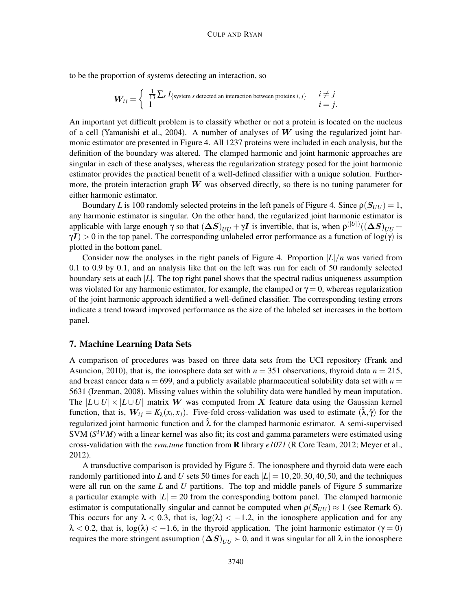to be the proportion of systems detecting an interaction, so

$$
W_{ij} = \begin{cases} \frac{1}{13} \sum_{s} I_{\text{[system } s \text{ detected an interaction between proteins } i, j\} & i \neq j \\ 1 & i = j. \end{cases}
$$

An important yet difficult problem is to classify whether or not a protein is located on the nucleus of a cell (Yamanishi et al., 2004). A number of analyses of W using the regularized joint harmonic estimator are presented in Figure 4. All 1237 proteins were included in each analysis, but the definition of the boundary was altered. The clamped harmonic and joint harmonic approaches are singular in each of these analyses, whereas the regularization strategy posed for the joint harmonic estimator provides the practical benefit of a well-defined classifier with a unique solution. Furthermore, the protein interaction graph  $W$  was observed directly, so there is no tuning parameter for either harmonic estimator.

Boundary *L* is 100 randomly selected proteins in the left panels of Figure 4. Since  $\rho(S_{UU}) = 1$ , any harmonic estimator is singular. On the other hand, the regularized joint harmonic estimator is applicable with large enough  $\gamma$  so that  $(\Delta S)_{UU} + \gamma I$  is invertible, that is, when  $\rho^{(|U|)}((\Delta S)_{UU} +$  $\gamma I$ ) > 0 in the top panel. The corresponding unlabeled error performance as a function of log( $\gamma$ ) is plotted in the bottom panel.

Consider now the analyses in the right panels of Figure 4. Proportion  $|L|/n$  was varied from 0.1 to 0.9 by 0.1, and an analysis like that on the left was run for each of 50 randomly selected boundary sets at each |*L*|. The top right panel shows that the spectral radius uniqueness assumption was violated for any harmonic estimator, for example, the clamped or  $\gamma = 0$ , whereas regularization of the joint harmonic approach identified a well-defined classifier. The corresponding testing errors indicate a trend toward improved performance as the size of the labeled set increases in the bottom panel.

## 7. Machine Learning Data Sets

A comparison of procedures was based on three data sets from the UCI repository (Frank and Asuncion, 2010), that is, the ionosphere data set with  $n = 351$  observations, thyroid data  $n = 215$ , and breast cancer data  $n = 699$ , and a publicly available pharmaceutical solubility data set with  $n =$ 5631 (Izenman, 2008). Missing values within the solubility data were handled by mean imputation. The  $|L \cup U| \times |L \cup U|$  matrix W was computed from X feature data using the Gaussian kernel function, that is,  $W_{ij} = K_{\lambda}(x_i, x_j)$ . Five-fold cross-validation was used to estimate  $(\hat{\lambda}, \hat{\gamma})$  for the regularized joint harmonic function and  $\hat{\lambda}$  for the clamped harmonic estimator. A semi-supervised SVM (*S* <sup>3</sup>*VM*) with a linear kernel was also fit; its cost and gamma parameters were estimated using cross-validation with the *svm.tune* function from R library *e1071* (R Core Team, 2012; Meyer et al., 2012).

A transductive comparison is provided by Figure 5. The ionosphere and thyroid data were each randomly partitioned into *L* and *U* sets 50 times for each  $|L| = 10, 20, 30, 40, 50$ , and the techniques were all run on the same *L* and *U* partitions. The top and middle panels of Figure 5 summarize a particular example with  $|L| = 20$  from the corresponding bottom panel. The clamped harmonic estimator is computationally singular and cannot be computed when  $\rho(S_{UU}) \approx 1$  (see Remark 6). This occurs for any  $\lambda < 0.3$ , that is,  $\log(\lambda) < -1.2$ , in the ionosphere application and for any  $\lambda < 0.2$ , that is,  $\log(\lambda) < -1.6$ , in the thyroid application. The joint harmonic estimator ( $\gamma = 0$ ) requires the more stringent assumption  $(\Delta S)_{UU}$  ≻ 0, and it was singular for all  $\lambda$  in the ionosphere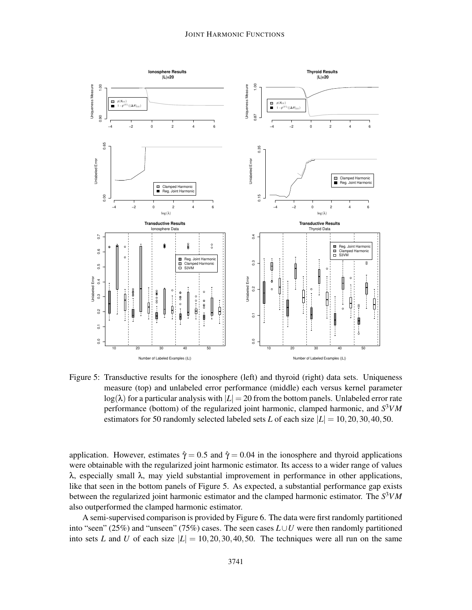

Figure 5: Transductive results for the ionosphere (left) and thyroid (right) data sets. Uniqueness measure (top) and unlabeled error performance (middle) each versus kernel parameter  $log(\lambda)$  for a particular analysis with  $|L| = 20$  from the bottom panels. Unlabeled error rate performance (bottom) of the regularized joint harmonic, clamped harmonic, and *S* <sup>3</sup>*VM* estimators for 50 randomly selected labeled sets *L* of each size  $|L| = 10, 20, 30, 40, 50$ .

application. However, estimates  $\hat{\gamma} = 0.5$  and  $\hat{\gamma} = 0.04$  in the ionosphere and thyroid applications were obtainable with the regularized joint harmonic estimator. Its access to a wider range of values λ, especially small λ, may yield substantial improvement in performance in other applications, like that seen in the bottom panels of Figure 5. As expected, a substantial performance gap exists between the regularized joint harmonic estimator and the clamped harmonic estimator. The *S* <sup>3</sup>*VM* also outperformed the clamped harmonic estimator.

A semi-supervised comparison is provided by Figure 6. The data were first randomly partitioned into "seen" (25%) and "unseen" (75%) cases. The seen cases *L*∪*U* were then randomly partitioned into sets *L* and *U* of each size  $|L| = 10, 20, 30, 40, 50$ . The techniques were all run on the same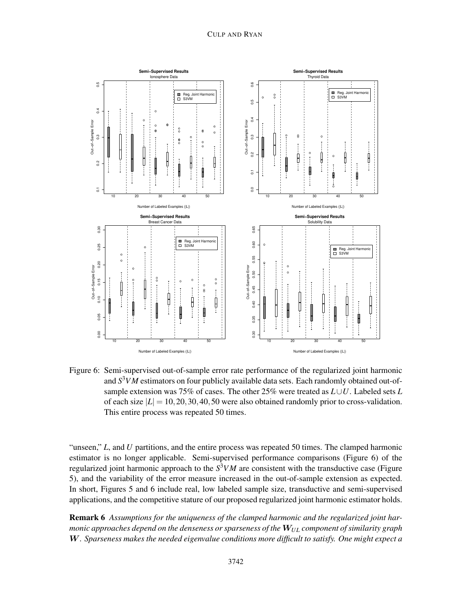### CULP AND RYAN



Figure 6: Semi-supervised out-of-sample error rate performance of the regularized joint harmonic and *S* <sup>3</sup>*VM* estimators on four publicly available data sets. Each randomly obtained out-ofsample extension was 75% of cases. The other 25% were treated as *L*∪*U*. Labeled sets *L* of each size  $|L| = 10, 20, 30, 40, 50$  were also obtained randomly prior to cross-validation. This entire process was repeated 50 times.

"unseen," *L*, and *U* partitions, and the entire process was repeated 50 times. The clamped harmonic estimator is no longer applicable. Semi-supervised performance comparisons (Figure 6) of the regularized joint harmonic approach to the *S* <sup>3</sup>*VM* are consistent with the transductive case (Figure 5), and the variability of the error measure increased in the out-of-sample extension as expected. In short, Figures 5 and 6 include real, low labeled sample size, transductive and semi-supervised applications, and the competitive stature of our proposed regularized joint harmonic estimator holds.

Remark 6 *Assumptions for the uniqueness of the clamped harmonic and the regularized joint harmonic approaches depend on the denseness or sparseness of the* W*UL component of similarity graph* W*. Sparseness makes the needed eigenvalue conditions more difficult to satisfy. One might expect a*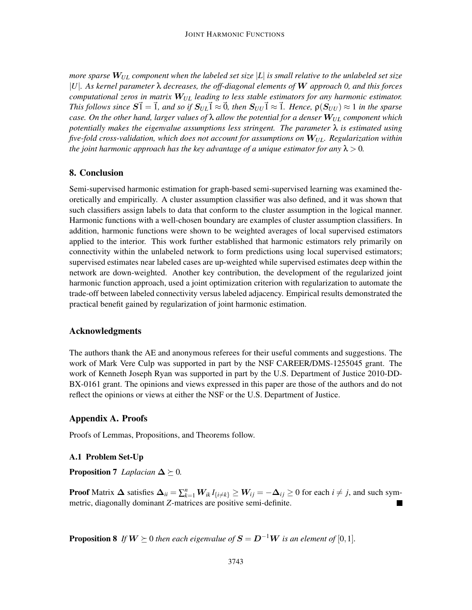*more sparse* W*UL component when the labeled set size* |*L*| *is small relative to the unlabeled set size* |*U*|*. As kernel parameter* λ *decreases, the off-diagonal elements of* W *approach 0, and this forces computational zeros in matrix* W*UL leading to less stable estimators for any harmonic estimator. This follows since*  $S\vec{1} = \vec{1}$ *, and so if*  $S_{UL}\vec{1} \approx \vec{0}$ *, then*  $S_{UU}\vec{1} \approx \vec{1}$ *. Hence,*  $\rho(S_{UU}) \approx 1$  *in the sparse case. On the other hand, larger values of* λ *allow the potential for a denser* W*UL component which potentially makes the eigenvalue assumptions less stringent. The parameter*  $\lambda$  *is estimated using five-fold cross-validation, which does not account for assumptions on* W*UL. Regularization within the joint harmonic approach has the key advantage of a unique estimator for any*  $\lambda > 0$ *.* 

## 8. Conclusion

Semi-supervised harmonic estimation for graph-based semi-supervised learning was examined theoretically and empirically. A cluster assumption classifier was also defined, and it was shown that such classifiers assign labels to data that conform to the cluster assumption in the logical manner. Harmonic functions with a well-chosen boundary are examples of cluster assumption classifiers. In addition, harmonic functions were shown to be weighted averages of local supervised estimators applied to the interior. This work further established that harmonic estimators rely primarily on connectivity within the unlabeled network to form predictions using local supervised estimators; supervised estimates near labeled cases are up-weighted while supervised estimates deep within the network are down-weighted. Another key contribution, the development of the regularized joint harmonic function approach, used a joint optimization criterion with regularization to automate the trade-off between labeled connectivity versus labeled adjacency. Empirical results demonstrated the practical benefit gained by regularization of joint harmonic estimation.

## Acknowledgments

The authors thank the AE and anonymous referees for their useful comments and suggestions. The work of Mark Vere Culp was supported in part by the NSF CAREER/DMS-1255045 grant. The work of Kenneth Joseph Ryan was supported in part by the U.S. Department of Justice 2010-DD-BX-0161 grant. The opinions and views expressed in this paper are those of the authors and do not reflect the opinions or views at either the NSF or the U.S. Department of Justice.

## Appendix A. Proofs

Proofs of Lemmas, Propositions, and Theorems follow.

## A.1 Problem Set-Up

**Proposition 7** *Laplacian*  $\Delta \succeq 0$ *.* 

**Proof** Matrix  $\Delta$  satisfies  $\Delta_{ii} = \sum_{k=1}^{n} W_{ik} I_{\{i \neq k\}} \geq W_{ij} = -\Delta_{ij} \geq 0$  for each  $i \neq j$ , and such symmetric, diagonally dominant *Z*-matrices are positive semi-definite.

**Proposition 8** *If*  $W \succeq 0$  *then each eigenvalue of*  $S = D^{-1}W$  *is an element of* [0,1]*.*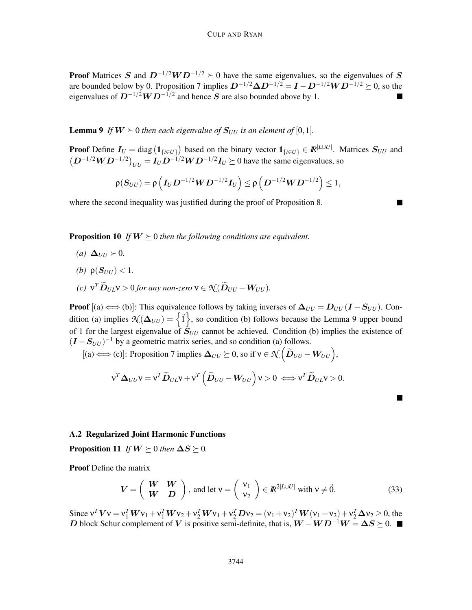**Proof** Matrices S and  $D^{-1/2}WD^{-1/2} \ge 0$  have the same eigenvalues, so the eigenvalues of S are bounded below by 0. Proposition 7 implies  $D^{-1/2} \Delta D^{-1/2} = I - D^{-1/2} W D^{-1/2} \succeq 0$ , so the eigenvalues of  $D^{-1/2}WD^{-1/2}$  and hence S are also bounded above by 1.

**Lemma 9** *If*  $W \succeq 0$  *then each eigenvalue of*  $S_{UU}$  *is an element of* [0, 1]*.* 

**Proof** Define  $I_U = \text{diag}(\mathbf{1}_{\{i \in U\}})$  based on the binary vector  $\mathbf{1}_{\{i \in U\}} \in \mathbb{R}^{|L \cup U|}$ . Matrices  $S_{UU}$  and  $(D^{-1/2}WD^{-1/2})_{UU} = I_U D^{-1/2}WD^{-1/2}I_U \succeq 0$  have the same eigenvalues, so

$$
\rho(\boldsymbol{S}_{UU}) = \rho\left(\boldsymbol{I}_U \boldsymbol{D}^{-1/2} \boldsymbol{W} \boldsymbol{D}^{-1/2} \boldsymbol{I}_U\right) \le \rho\left(\boldsymbol{D}^{-1/2} \boldsymbol{W} \boldsymbol{D}^{-1/2}\right) \le 1,
$$

where the second inequality was justified during the proof of Proposition 8.

**Proposition 10** If  $W \succeq 0$  then the following conditions are equivalent.

- *(a)*  $\Delta$ *UU* ≻ 0*.*
- *(b)*  $\rho(S_{III}) < 1$ .
- *(c)*  $v^T \widetilde{D}_{UL} v > 0$  *for any non-zero*  $v \in \mathcal{N}(\widetilde{D}_{UU} W_{UU})$ *.*

**Proof**  $[(a) \leftrightarrow (b)]$ : This equivalence follows by taking inverses of  $\Delta_{UU} = D_{UU} (I - S_{UU})$ . Condition (a) implies  $\mathcal{N}(\Delta_{UU}) = \{ \vec{1} \}$ , so condition (b) follows because the Lemma 9 upper bound of 1 for the largest eigenvalue of  $S_{UU}$  cannot be achieved. Condition (b) implies the existence of  $(I - S_{UU})^{-1}$  by a geometric matrix series, and so condition (a) follows.

 $[(a) \Longleftrightarrow (c)]$ : Proposition 7 implies  $\Delta_{UU} \succeq 0$ , so if  $v \in \mathcal{N} \left( \widetilde{D}_{UU} - W_{UU} \right)$ ,

$$
\mathbf{v}^T \mathbf{\Delta}_{UU} \mathbf{v} = \mathbf{v}^T \widetilde{\mathbf{D}}_{UL} \mathbf{v} + \mathbf{v}^T \left( \widetilde{\mathbf{D}}_{UU} - \mathbf{W}_{UU} \right) \mathbf{v} > 0 \iff \mathbf{v}^T \widetilde{\mathbf{D}}_{UL} \mathbf{v} > 0.
$$

#### A.2 Regularized Joint Harmonic Functions

**Proposition 11** *If*  $W \succeq 0$  *then*  $\Delta S \succeq 0$ *.* 

Proof Define the matrix

$$
V = \begin{pmatrix} W & W \\ W & D \end{pmatrix}, \text{ and let } v = \begin{pmatrix} v_1 \\ v_2 \end{pmatrix} \in \mathbb{R}^{2|L \cup U|} \text{ with } v \neq \vec{0}. \tag{33}
$$

Since  $v^T V v = v_1^T W v_1 + v_1^T W v_2 + v_2^T W v_1 + v_2^T D v_2 = (v_1 + v_2)^T W (v_1 + v_2) + v_2^T \Delta v_2 \ge 0$ , the D block Schur complement of V is positive semi-definite, that is,  $W - WD^{-1}W = \Delta S \succeq 0$ .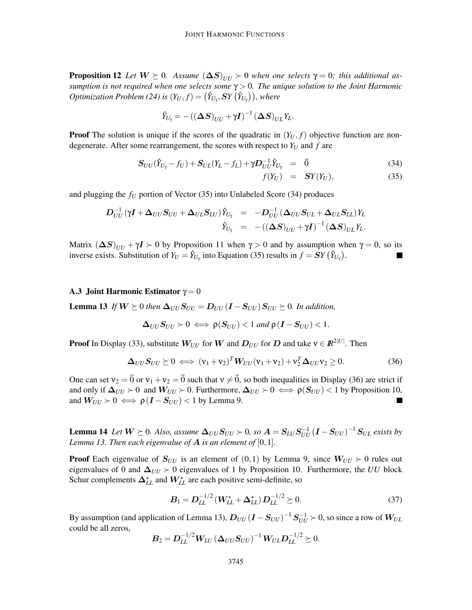**Proposition 12** Let  $W \succeq 0$ . Assume  $(\Delta S)_{UU} \succ 0$  when one selects  $\gamma = 0$ ; this additional as*sumption is not required when one selects some* γ > 0*. The unique solution to the Joint Harmonic Optimization Problem (24) is*  $(Y_U, f) = (\hat{Y}_{U_\gamma}, SY(\hat{Y}_{U_\gamma})),$  where

$$
\hat{Y}_{U_{\gamma}} = -((\Delta S)_{UU} + \gamma I)^{-1} (\Delta S)_{UL} Y_L.
$$

**Proof** The solution is unique if the scores of the quadratic in  $(Y_U, f)$  objective function are nondegenerate. After some rearrangement, the scores with respect to  $Y_U$  and  $f$  are

$$
\mathbf{S}_{UU}(\hat{Y}_{U_{\gamma}} - f_U) + \mathbf{S}_{UL}(Y_L - f_L) + \gamma \mathbf{D}_{UU}^{-1} \hat{Y}_{U_{\gamma}} = \vec{0} \tag{34}
$$

$$
f(Y_U) = SY(Y_U), \tag{35}
$$

and plugging the *f<sup>U</sup>* portion of Vector (35) into Unlabeled Score (34) produces

$$
\begin{array}{ccc} D_{UU}^{-1} \left(\gamma I + \Delta_{UU} S_{UU} + \Delta_{UL} S_{LU}\right) \hat{Y}_{U_{\gamma}} & = & - D_{UU}^{-1} \left(\Delta_{UU} S_{UL} + \Delta_{UL} S_{LL}\right) Y_L \\ & & \hat{Y}_{U_{\gamma}} & = & - \left(\left(\Delta S\right)_{UU} + \gamma I\right)^{-1} \left(\Delta S\right)_{UL} Y_L. \end{array}
$$

Matrix  $(\Delta S)_{UU} + \gamma I > 0$  by Proposition 11 when  $\gamma > 0$  and by assumption when  $\gamma = 0$ , so its inverse exists. Substitution of  $Y_U = \hat{Y}_{U_\gamma}$  into Equation (35) results in  $f = SY(\hat{Y}_{U_\gamma})$ .

## A.3 Joint Harmonic Estimator  $\gamma = 0$

**Lemma 13** *If*  $W \succeq 0$  *then*  $\Delta_{UU} S_{UU} = D_{UU} (I - S_{UU}) S_{UU} \succeq 0$ *. In addition,* 

$$
\Delta_{UU}S_{UU}\succ 0 \iff \rho(S_{UU}) < 1 \text{ and } \rho(I - S_{UU}) < 1.
$$

**Proof** In Display (33), substitute  $W_{UU}$  for  $W$  and  $D_{UU}$  for  $D$  and take  $v \in \mathbb{R}^{2|U|}$ . Then

$$
\Delta_{UU} S_{UU} \succeq 0 \iff (\mathbf{v}_1 + \mathbf{v}_2)^T \mathbf{W}_{UU} (\mathbf{v}_1 + \mathbf{v}_2) + \mathbf{v}_2^T \Delta_{UU} \mathbf{v}_2 \ge 0.
$$
 (36)

One can set  $v_2 = \vec{0}$  or  $v_1 + v_2 = \vec{0}$  such that  $v \neq \vec{0}$ , so both inequalities in Display (36) are strict if and only if  $\Delta_{UU} \succ 0$  and  $W_{UU} \succ 0$ . Furthermore,  $\Delta_{UU} \succ 0 \iff \rho(S_{UU}) < 1$  by Proposition 10, and  $W_{UU} \succ 0 \iff \rho (I - S_{UU}) < 1$  by Lemma 9.

**Lemma 14** Let  $W \succeq 0$ . Also, assume  $\Delta_{UU}S_{UU} \succ 0$ , so  $A = S_{LU}S_{UU}^{-1}(I - S_{UU})^{-1}S_{UL}$  exists by *Lemma 13. Then each eigenvalue of* A *is an element of* [0,1]*.*

**Proof** Each eigenvalue of  $S_{UU}$  is an element of  $(0,1)$  by Lemma 9, since  $W_{UU} \succ 0$  rules out eigenvalues of 0 and  $\Delta_{UU}$  ≻ 0 eigenvalues of 1 by Proposition 10. Furthermore, the *UU* block Schur complements  $\Delta_{LL}^{\star}$  and  $W_{LL}^{\star}$  are each positive semi-definite, so

$$
B_1 = D_{LL}^{-1/2} \left( W_{LL}^{\star} + \Delta_{LL}^{\star} \right) D_{LL}^{-1/2} \succeq 0. \tag{37}
$$

By assumption (and application of Lemma 13),  $D_{UU}(I - S_{UU})^{-1}S_{UU}^{-1} \succ 0$ , so since a row of  $W_{UL}$ could be all zeros,

$$
\boldsymbol{B}_2 = \boldsymbol{D}_{LL}^{-1/2} \boldsymbol{W}_{LU} (\boldsymbol{\Delta}_{UU} \boldsymbol{S}_{UU})^{-1} \boldsymbol{W}_{UL} \boldsymbol{D}_{LL}^{-1/2} \succeq 0.
$$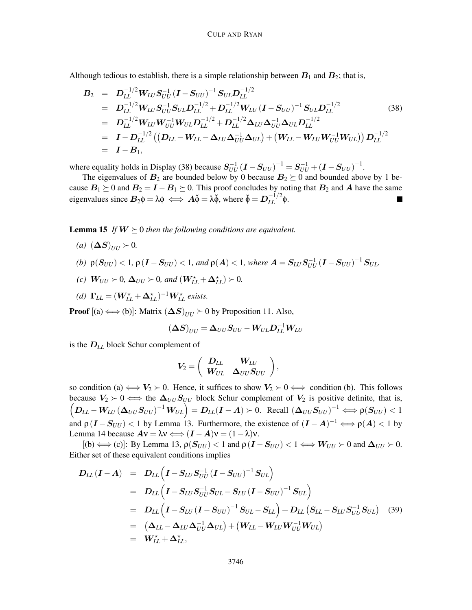Although tedious to establish, there is a simple relationship between  $B_1$  and  $B_2$ ; that is,

$$
B_2 = D_{LL}^{-1/2} W_{LU} S_{UU}^{-1} (I - S_{UU})^{-1} S_{UL} D_{LL}^{-1/2}
$$
  
\n
$$
= D_{LL}^{-1/2} W_{LU} S_{UU}^{-1} S_{UL} D_{LL}^{-1/2} + D_{LL}^{-1/2} W_{LU} (I - S_{UU})^{-1} S_{UL} D_{LL}^{-1/2}
$$
  
\n
$$
= D_{LL}^{-1/2} W_{LU} W_{UU}^{-1} W_{UL} D_{LL}^{-1/2} + D_{LL}^{-1/2} \Delta_{LU} \Delta_{UU}^{-1} \Delta_{UL} D_{LL}^{-1/2}
$$
  
\n
$$
= I - D_{LL}^{-1/2} ((D_{LL} - W_{LL} - \Delta_{LU} \Delta_{UU}^{-1} \Delta_{UL}) + (W_{LL} - W_{LU} W_{UU}^{-1} W_{UL})) D_{LL}^{-1/2}
$$
  
\n
$$
= I - B_1,
$$
 (38)

where equality holds in Display (38) because  $S_{UU}^{-1} (I - S_{UU})^{-1} = S_{UU}^{-1} + (I - S_{UU})^{-1}$ .

The eigenvalues of  $B_2$  are bounded below by 0 because  $B_2 \succeq 0$  and bounded above by 1 because  $B_1 \succeq 0$  and  $B_2 = I - B_1 \succeq 0$ . This proof concludes by noting that  $B_2$  and A have the same eigenvalues since  $B_2 \phi = \lambda \phi \iff A \breve{\phi} = \lambda \breve{\phi}$ , where  $\breve{\phi} = D_{LL}^{-1/2} \phi$ .

**Lemma 15** If  $W \succeq 0$  then the following conditions are equivalent.

- $(a)$   $(\Delta S)_{UU}$  ≻ 0*.*
- *(b)*  $\rho(S_{UU}) < 1$ ,  $\rho(I S_{UU}) < 1$ , and  $\rho(A) < 1$ , where  $A = S_{LU}S_{UU}^{-1}(I S_{UU})^{-1}S_{UL}$ .
- $I$ *(c)*  $W_{UU}$  ≻ 0*,*  $\Delta_{UU}$  ≻ 0*, and*  $(W_{LL}^{\star} + \Delta_{LL}^{\star})$  ≻ 0*.*
- *(d)*  $\Gamma_{LL} = (W_{LL}^* + \Delta_{LL}^*)^{-1}W_{LL}^*$  exists.

**Proof**  $[(a) \leftrightarrow (b)]$ : Matrix  $(\Delta S)_{UU} \succeq 0$  by Proposition 11. Also,

$$
(\boldsymbol{\Delta S})_{UU} = \boldsymbol{\Delta}_{UU}\boldsymbol{S}_{UU} - \boldsymbol{W}_{UL}\boldsymbol{D}_{LL}^{-1}\boldsymbol{W}_{LU}
$$

is the D*LL* block Schur complement of

$$
V_2 = \left(\begin{array}{cc} D_{LL} & W_{LU} \\ W_{UL} & \Delta_{UU} S_{UU} \end{array}\right),
$$

so condition (a)  $\iff V_2 \succ 0$ . Hence, it suffices to show  $V_2 \succ 0 \iff$  condition (b). This follows because  $V_2 \succ 0 \iff$  the  $\Delta_{UU} S_{UU}$  block Schur complement of  $V_2$  is positive definite, that is,  $\left(D_{LL} - W_{LU} (\Delta_{UU} S_{UU})^{-1} W_{UL}\right) = D_{LL}(I - A) \succ 0$ . Recall  $(\Delta_{UU} S_{UU})^{-1} \Longleftrightarrow \rho(S_{UU}) < 1$ and  $\rho(I - S_{UU}) < 1$  by Lemma 13. Furthermore, the existence of  $(I - A)^{-1} \Longleftrightarrow \rho(A) < 1$  by Lemma 14 because  $A v = \lambda v \Longleftrightarrow (I - A)v = (1 - \lambda)v$ .

 $[(b) \Longleftrightarrow (c)]$ : By Lemma 13,  $\rho(S_{UU}) < 1$  and  $\rho(I - S_{UU}) < 1 \Longleftrightarrow W_{UU} > 0$  and  $\Delta_{UU} > 0$ . Either set of these equivalent conditions implies

$$
D_{LL}(I - A) = D_{LL} (I - S_{LU} S_{UU}^{-1} (I - S_{UU})^{-1} S_{UL})
$$
  
\n
$$
= D_{LL} (I - S_{LU} S_{UU}^{-1} S_{UL} - S_{LU} (I - S_{UU})^{-1} S_{UL})
$$
  
\n
$$
= D_{LL} (I - S_{LU} (I - S_{UU})^{-1} S_{UL} - S_{LL}) + D_{LL} (S_{LL} - S_{LU} S_{UU}^{-1} S_{UL})
$$
  
\n
$$
= (\Delta_{LL} - \Delta_{LU} \Delta_{UU}^{-1} \Delta_{UL}) + (W_{LL} - W_{LU} W_{UU}^{-1} W_{UL})
$$
  
\n
$$
= W_{LL}^{*} + \Delta_{LL}^{*},
$$
 (39)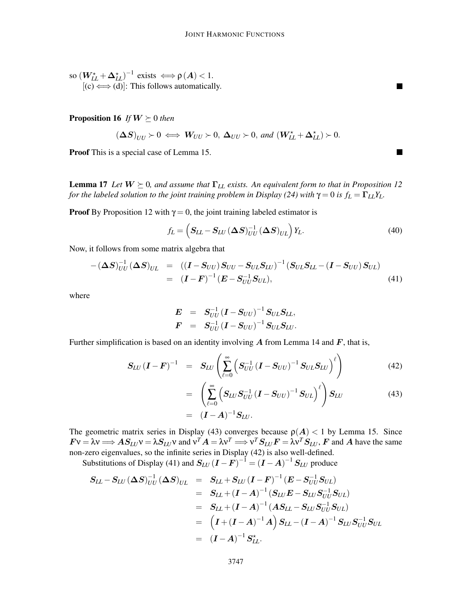so  $(W_{LL}^{\star} + \Delta_{LL}^{\star})^{-1}$  exists  $\Longleftrightarrow \rho(A) < 1$ .  $[(c) \Longleftrightarrow (d)]$ : This follows automatically.

**Proposition 16** *If*  $W \succeq 0$  *then* 

$$
(\Delta S)_{UU} \succ 0 \iff W_{UU} \succ 0, \ \Delta_{UU} \succ 0, \ and \ (W_{LL}^{\star} + \Delta_{LL}^{\star}) \succ 0.
$$

Proof This is a special case of Lemma 15.

**Lemma 17** *Let*  $W \succeq 0$ *, and assume that*  $\Gamma_{LL}$  *exists. An equivalent form to that in Proposition 12 for the labeled solution to the joint training problem in Display (24) with*  $\gamma = 0$  *is*  $f_L = \Gamma_{LL} Y_L$ .

**Proof** By Proposition 12 with  $\gamma = 0$ , the joint training labeled estimator is

$$
f_L = \left(S_{LL} - S_{LU} \left(\Delta S\right)_{UU}^{-1} \left(\Delta S\right)_{UL}\right) Y_L.
$$
\n(40)

Now, it follows from some matrix algebra that

$$
-(\Delta S)^{-1}_{UU}(\Delta S)_{UL} = ((I - S_{UU})S_{UU} - S_{UL}S_{LU})^{-1}(S_{UL}S_{LL} - (I - S_{UU})S_{UL})
$$
  
= 
$$
(I - F)^{-1}(E - S_{UU}^{-1}S_{UL}),
$$
 (41)

where

$$
\begin{array}{lll} {\bm E} & = & {\bm S}_{UU}^{-1} \left( {\bm I} - {\bm S}_{UU} \right)^{-1} {\bm S}_{UL} {\bm S}_{LL}, \\[0.2cm] {\bm F} & = & {\bm S}_{UU}^{-1} \left( {\bm I} - {\bm S}_{UU} \right)^{-1} {\bm S}_{UL} {\bm S}_{LU}. \end{array}
$$

Further simplification is based on an identity involving  $\vec{A}$  from Lemma 14 and  $\vec{F}$ , that is,

$$
S_{LU} (I - F)^{-1} = S_{LU} \left( \sum_{\ell=0}^{\infty} \left( S_{UU}^{-1} (I - S_{UU})^{-1} S_{UL} S_{LU} \right)^{\ell} \right)
$$
(42)

$$
= \left( \sum_{\ell=0}^{\infty} \left( S_{LU} S_{UU}^{-1} (I - S_{UU})^{-1} S_{UL} \right)^{\ell} \right) S_{LU}
$$
\n
$$
= (I - A)^{-1} S_{LU}.
$$
\n(43)

The geometric matrix series in Display (43) converges because  $p(A) < 1$  by Lemma 15. Since  $Fv = \lambda v \Longrightarrow AS_{LU}v = \lambda S_{LU}v$  and  $v^T A = \lambda v^T \Longrightarrow v^T S_{LU}F = \lambda v^T S_{LU}$ , F and A have the same non-zero eigenvalues, so the infinite series in Display (42) is also well-defined.

Substitutions of Display (41) and  $S_{LU}(I-F)^{-1} = (I-A)^{-1}S_{LU}$  produce

$$
\begin{array}{lcl} S_{LL}-S_{LU}\left(\Delta S\right)^{-1}_{UU}\left(\Delta S\right)_{UL}&=&S_{LL}+S_{LU}\left(I-F\right)^{-1}\left(E-S^{-1}_{UU}S_{UL}\right)\\ &=&S_{LL}+\left(I-A\right)^{-1}\left(S_{LU}E-S_{LU}S^{-1}_{UU}S_{UL}\right)\\ &=&S_{LL}+\left(I-A\right)^{-1}\left(AS_{LL}-S_{LU}S^{-1}_{UU}S_{UL}\right)\\ &=&\left(I+\left(I-A\right)^{-1}A\right)S_{LL}-\left(I-A\right)^{-1}S_{LU}S^{-1}_{UU}S_{UL}\\ &=&\left(I-A\right)^{-1}S^{\star}_{LL}. \end{array}
$$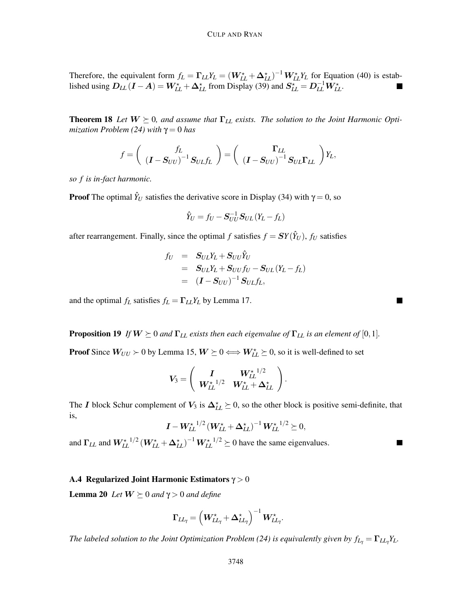Therefore, the equivalent form  $f_L = \Gamma_{LL} Y_L = (W_{LL}^* + \Delta_{LL}^*)^{-1} W_{LL}^* Y_L$  for Equation (40) is established using  $D_{LL}(I - A) = W_{LL}^* + \Delta_{LL}^*$  from Display (39) and  $S_{LL}^* = D_{LL}^{-1} W_{LL}^*$ .

**Theorem 18** Let  $W \succeq 0$ , and assume that  $\Gamma_{LL}$  exists. The solution to the Joint Harmonic Opti*mization Problem (24) with* γ = 0 *has*

$$
f = \left(\begin{array}{c} f_L \\ (I - S_{UU})^{-1} S_{UL} f_L \end{array}\right) = \left(\begin{array}{c} \Gamma_{LL} \\ (I - S_{UU})^{-1} S_{UL} \Gamma_{LL} \end{array}\right) Y_L,
$$

*so f is in-fact harmonic.*

**Proof** The optimal  $\hat{Y}_U$  satisfies the derivative score in Display (34) with  $\gamma = 0$ , so

$$
\hat{Y}_U = f_U - \mathbf{S}_{UU}^{-1} \mathbf{S}_{UL} (Y_L - f_L)
$$

after rearrangement. Finally, since the optimal *f* satisfies  $f = SY(\hat{Y}_U)$ ,  $f_U$  satisfies

$$
f_U = S_{UL}Y_L + S_{UU}\hat{Y}_U
$$
  
= 
$$
S_{UL}Y_L + S_{UU}f_U - S_{UL}(Y_L - f_L)
$$
  
= 
$$
(\mathbf{I} - S_{UU})^{-1}S_{UL}f_L,
$$

and the optimal  $f_L$  satisfies  $f_L = \Gamma_{LL} Y_L$  by Lemma 17.

**Proposition 19** *If*  $W \succeq 0$  *and*  $\Gamma_{LL}$  *exists then each eigenvalue of*  $\Gamma_{LL}$  *is an element of* [0, 1]*.* **Proof** Since  $W_{UU} \succ 0$  by Lemma 15,  $W \succeq 0 \Longleftrightarrow W_{LL}^{\star} \succeq 0$ , so it is well-defined to set

$$
\boldsymbol{V_3} = \left(\begin{array}{cc} \boldsymbol{I} & \boldsymbol{W_{LL}^{\star}}^{1/2} \\ \boldsymbol{W_{LL}^{\star}}^{1/2} & \boldsymbol{W_{LL}^{\star}}+\boldsymbol{\Delta_{LL}^{\star}} \end{array}\right).
$$

The I block Schur complement of  $V_3$  is  $\Delta_{LL}^{\star} \succeq 0$ , so the other block is positive semi-definite, that is,

$$
\boldsymbol{I} - \boldsymbol{W}_{LL}^{\star 1/2} \left(\boldsymbol{W}_{LL}^{\star} + \boldsymbol{\Delta}_{LL}^{\star}\right)^{-1} \boldsymbol{W}_{LL}^{\star 1/2} \succeq 0,
$$

and  $\Gamma_{LL}$  and  $W_{LL}^{\star}{}^{1/2} (W_{LL}^{\star} + \Delta_{LL}^{\star})^{-1} W_{LL}^{\star}{}^{1/2} \succeq 0$  have the same eigenvalues.

### A.4 Regularized Joint Harmonic Estimators  $\gamma > 0$

**Lemma 20** *Let*  $W \succeq 0$  *and*  $\gamma > 0$  *and define* 

$$
\boldsymbol{\Gamma}_{L L_{\gamma}} = \left(\boldsymbol{W}_{L L_{\gamma}}^{\star} + \boldsymbol{\Delta}_{L L_{\gamma}}^{\star}\right)^{-1} \boldsymbol{W}_{L L_{\gamma}}^{\star}.
$$

*The labeled solution to the Joint Optimization Problem (24) is equivalently given by*  $f_{L\gamma} = \Gamma_{LL\gamma} Y_L$ *.* 

П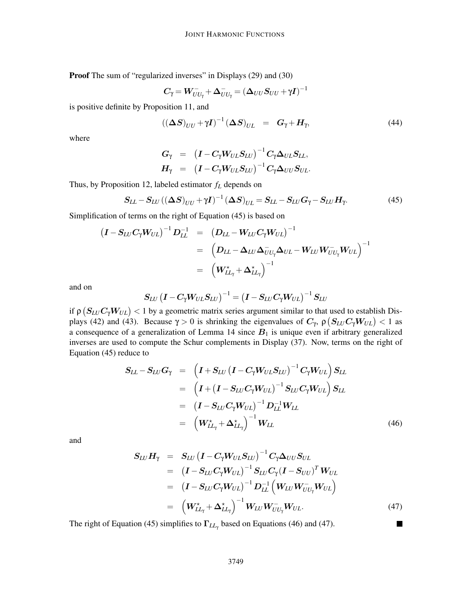Proof The sum of "regularized inverses" in Displays (29) and (30)

$$
C_{\gamma} = W_{UU_{\gamma}}^- + \Delta_{UU_{\gamma}}^- = (\Delta_{UU} S_{UU} + \gamma I)^{-1}
$$

is positive definite by Proposition 11, and

$$
\left( (\Delta S)_{UU} + \gamma I \right)^{-1} (\Delta S)_{UL} = G_{\gamma} + H_{\gamma}, \tag{44}
$$

where

$$
\begin{array}{rcl}\nG_{\gamma} & = & \left(\boldsymbol{I} - \boldsymbol{C}_{\gamma} \boldsymbol{W}_{UL} \boldsymbol{S}_{LU}\right)^{-1} \boldsymbol{C}_{\gamma} \boldsymbol{\Delta}_{UL} \boldsymbol{S}_{LL}, \\
\boldsymbol{H}_{\gamma} & = & \left(\boldsymbol{I} - \boldsymbol{C}_{\gamma} \boldsymbol{W}_{UL} \boldsymbol{S}_{LU}\right)^{-1} \boldsymbol{C}_{\gamma} \boldsymbol{\Delta}_{UU} \boldsymbol{S}_{UL}.\n\end{array}
$$

Thus, by Proposition 12, labeled estimator *f<sup>L</sup>* depends on

$$
S_{LL} - S_{LU} \left( \left( \Delta S \right)_{UU} + \gamma I \right)^{-1} \left( \Delta S \right)_{UL} = S_{LL} - S_{LU} G_{\gamma} - S_{LU} H_{\gamma}. \tag{45}
$$

Simplification of terms on the right of Equation (45) is based on

$$
\begin{array}{lcl} \left(\bm{I}-\bm{S}_{LU}\bm{C}_{\gamma}\bm{W}_{UL}\right)^{-1}\bm{D}_{LL}^{-1} & = & \left(\bm{D}_{LL}-\bm{W}_{LU}\bm{C}_{\gamma}\bm{W}_{UL}\right)^{-1} \\ \\ & = & \left(\bm{D}_{LL}-\bm{\Delta}_{LU}\bm{\Delta}_{UU_{\gamma}}^{-}\bm{\Delta}_{UL}-\bm{W}_{LU}\bm{W}_{UU_{\gamma}}^{-}\bm{W}_{UL}\right)^{-1} \\ \\ & = & \left(\bm{W}_{LL_{\gamma}}^{\star}+\bm{\Delta}_{LL_{\gamma}}^{\star}\right)^{-1} \end{array}
$$

and on

$$
\boldsymbol{S}_{LU}\left(\boldsymbol{I}-\boldsymbol{C}_{\gamma}\boldsymbol{W}_{UL}\boldsymbol{S}_{LU}\right)^{-1}=\left(\boldsymbol{I}-\boldsymbol{S}_{LU}\boldsymbol{C}_{\gamma}\boldsymbol{W}_{UL}\right)^{-1}\boldsymbol{S}_{LU}
$$

if  $\rho \left( S_{LU} C_\gamma W_{UL} \right)$  < 1 by a geometric matrix series argument similar to that used to establish Displays (42) and (43). Because  $\gamma > 0$  is shrinking the eigenvalues of  $C_{\gamma}$ ,  $\rho(S_{LU}C_{\gamma}W_{UL}) < 1$  as a consequence of a generalization of Lemma 14 since  $B_1$  is unique even if arbitrary generalized inverses are used to compute the Schur complements in Display (37). Now, terms on the right of Equation (45) reduce to

$$
S_{LL} - S_{LU}G_{\gamma} = \left(I + S_{LU} (I - C_{\gamma}W_{UL}S_{LU})^{-1} C_{\gamma}W_{UL}\right)S_{LL}
$$
  
\n
$$
= \left(I + (I - S_{LU}C_{\gamma}W_{UL})^{-1}S_{LU}C_{\gamma}W_{UL}\right)S_{LL}
$$
  
\n
$$
= (I - S_{LU}C_{\gamma}W_{UL})^{-1}D_{LL}^{-1}W_{LL}
$$
  
\n
$$
= \left(W_{LL_{\gamma}}^{*} + \Delta_{LL_{\gamma}}^{*}\right)^{-1}W_{LL}
$$
\n(46)

and

$$
S_{LU}H_{\gamma} = S_{LU} (I - C_{\gamma}W_{UL}S_{LU})^{-1} C_{\gamma}\Delta_{UU}S_{UL}
$$
  
\n
$$
= (I - S_{LU}C_{\gamma}W_{UL})^{-1} S_{LU}C_{\gamma} (I - S_{UU})^{T} W_{UL}
$$
  
\n
$$
= (I - S_{LU}C_{\gamma}W_{UL})^{-1} D_{LL}^{-1} (W_{LU}W_{UU_{\gamma}}^{-}W_{UL})
$$
  
\n
$$
= (W_{LL_{\gamma}}^{*} + \Delta_{LL_{\gamma}}^{*})^{-1} W_{LU}W_{UU_{\gamma}}^{-}W_{UL}. \qquad (47)
$$

The right of Equation (45) simplifies to  $\Gamma_{LL_{\gamma}}$  based on Equations (46) and (47).

 $\overline{\phantom{a}}$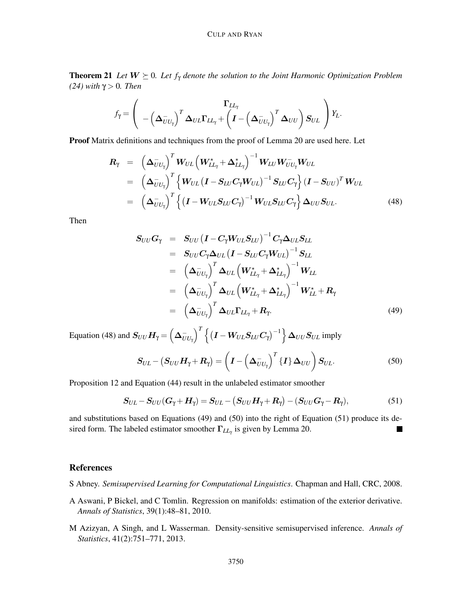#### CULP AND RYAN

**Theorem 21** *Let*  $W \succeq 0$ *. Let*  $f_{\gamma}$  *denote the solution to the Joint Harmonic Optimization Problem (24) with* γ > 0*. Then*

$$
f_{\gamma} = \left(\begin{array}{c} \Gamma_{LL_{\gamma}} \\ -\left(\boldsymbol{\Delta}_{UU_{\gamma}}^-\right)^T\boldsymbol{\Delta}_{UL}\Gamma_{LL_{\gamma}} + \left(\boldsymbol{I} - \left(\boldsymbol{\Delta}_{UU_{\gamma}}^-\right)^T\boldsymbol{\Delta}_{UU}\right)\boldsymbol{S}_{UL} \end{array}\right)Y_L.
$$

Proof Matrix definitions and techniques from the proof of Lemma 20 are used here. Let

$$
\begin{split} \boldsymbol{R}_{\gamma} &= \left(\boldsymbol{\Delta}_{UU_{\gamma}}^{-}\right)^{T} \boldsymbol{W}_{UL} \left(\boldsymbol{W}_{LL_{\gamma}}^{\star} + \boldsymbol{\Delta}_{LL_{\gamma}}^{\star}\right)^{-1} \boldsymbol{W}_{LU} \boldsymbol{W}_{UU_{\gamma}}^{\top} \boldsymbol{W}_{UL} \\ &= \left(\boldsymbol{\Delta}_{UU_{\gamma}}^{-}\right)^{T} \left\{\boldsymbol{W}_{UL} \left(\boldsymbol{I} - \boldsymbol{S}_{LU} \boldsymbol{C}_{\gamma} \boldsymbol{W}_{UL}\right)^{-1} \boldsymbol{S}_{LU} \boldsymbol{C}_{\gamma}\right\} \left(\boldsymbol{I} - \boldsymbol{S}_{UU}\right)^{T} \boldsymbol{W}_{UL} \\ &= \left(\boldsymbol{\Delta}_{UU_{\gamma}}^{-}\right)^{T} \left\{\left(\boldsymbol{I} - \boldsymbol{W}_{UL} \boldsymbol{S}_{LU} \boldsymbol{C}_{\gamma}\right)^{-1} \boldsymbol{W}_{UL} \boldsymbol{S}_{LU} \boldsymbol{C}_{\gamma}\right\} \boldsymbol{\Delta}_{UU} \boldsymbol{S}_{UL}. \end{split} \tag{48}
$$

Then

$$
S_{UU}G_{\gamma} = S_{UU} (I - C_{\gamma}W_{UL}S_{LU})^{-1} C_{\gamma}\Delta_{UL}S_{LL}
$$
  
\n
$$
= S_{UU}C_{\gamma}\Delta_{UL} (I - S_{LU}C_{\gamma}W_{UL})^{-1}S_{LL}
$$
  
\n
$$
= (\Delta_{UU_{\gamma}}^{-})^{T} \Delta_{UL} (W_{LL_{\gamma}}^{*} + \Delta_{LL_{\gamma}}^{*})^{-1}W_{LL}
$$
  
\n
$$
= (\Delta_{UU_{\gamma}}^{-})^{T} \Delta_{UL} (W_{L_{\gamma}}^{*} + \Delta_{LL_{\gamma}}^{*})^{-1}W_{LL}^{*} + R_{\gamma}
$$
  
\n
$$
= (\Delta_{UU_{\gamma}}^{-})^{T} \Delta_{UL}\Gamma_{LL_{\gamma}} + R_{\gamma}.
$$
  
\n(49)

Equation (48) and  $S_{UU}H_{\gamma} = \left(\Delta_{UU_{\gamma}}^{-}\right)^T \left\{\left(I - W_{UL}S_{LU}C_{\gamma}\right)^{-1}\right\} \Delta_{UU}S_{UL}$  imply

$$
\boldsymbol{S}_{UL} - (\boldsymbol{S}_{UU}\boldsymbol{H}_{\gamma} + \boldsymbol{R}_{\gamma}) = \left(\boldsymbol{I} - \left(\boldsymbol{\Delta}_{UU_{\gamma}}^{-}\right)^{T} \{\boldsymbol{I}\} \boldsymbol{\Delta}_{UU}\right) \boldsymbol{S}_{UL}.
$$
\n(50)

Proposition 12 and Equation (44) result in the unlabeled estimator smoother

$$
S_{UL} - S_{UU}(G_\gamma + H_\gamma) = S_{UL} - (S_{UU}H_\gamma + R_\gamma) - (S_{UU}G_\gamma - R_\gamma),
$$
\n(51)

and substitutions based on Equations (49) and (50) into the right of Equation (51) produce its desired form. The labeled estimator smoother  $\Gamma_{LL_{\gamma}}$  is given by Lemma 20.

## References

- S Abney. *Semisupervised Learning for Computational Linguistics*. Chapman and Hall, CRC, 2008.
- A Aswani, P Bickel, and C Tomlin. Regression on manifolds: estimation of the exterior derivative. *Annals of Statistics*, 39(1):48–81, 2010.
- M Azizyan, A Singh, and L Wasserman. Density-sensitive semisupervised inference. *Annals of Statistics*, 41(2):751–771, 2013.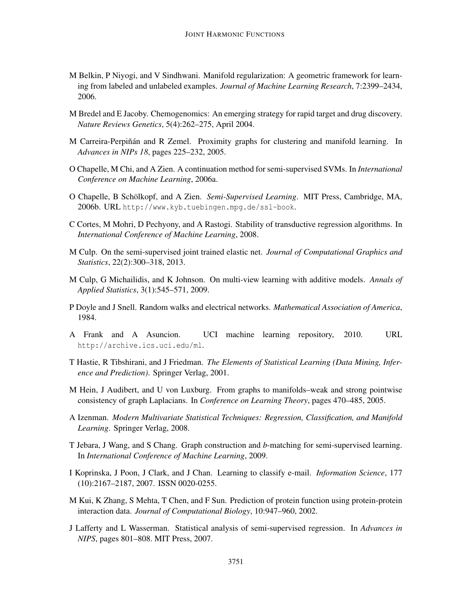- M Belkin, P Niyogi, and V Sindhwani. Manifold regularization: A geometric framework for learning from labeled and unlabeled examples. *Journal of Machine Learning Research*, 7:2399–2434, 2006.
- M Bredel and E Jacoby. Chemogenomics: An emerging strategy for rapid target and drug discovery. *Nature Reviews Genetics*, 5(4):262–275, April 2004.
- M Carreira-Perpiñán and R Zemel. Proximity graphs for clustering and manifold learning. In *Advances in NIPs 18*, pages 225–232, 2005.
- O Chapelle, M Chi, and A Zien. A continuation method for semi-supervised SVMs. In *International Conference on Machine Learning*, 2006a.
- O Chapelle, B Schölkopf, and A Zien. Semi-Supervised Learning. MIT Press, Cambridge, MA, 2006b. URL http://www.kyb.tuebingen.mpg.de/ssl-book.
- C Cortes, M Mohri, D Pechyony, and A Rastogi. Stability of transductive regression algorithms. In *International Conference of Machine Learning*, 2008.
- M Culp. On the semi-supervised joint trained elastic net. *Journal of Computational Graphics and Statistics*, 22(2):300–318, 2013.
- M Culp, G Michailidis, and K Johnson. On multi-view learning with additive models. *Annals of Applied Statistics*, 3(1):545–571, 2009.
- P Doyle and J Snell. Random walks and electrical networks. *Mathematical Association of America*, 1984.
- A Frank and A Asuncion. UCI machine learning repository, 2010. URL http://archive.ics.uci.edu/ml.
- T Hastie, R Tibshirani, and J Friedman. *The Elements of Statistical Learning (Data Mining, Inference and Prediction)*. Springer Verlag, 2001.
- M Hein, J Audibert, and U von Luxburg. From graphs to manifolds–weak and strong pointwise consistency of graph Laplacians. In *Conference on Learning Theory*, pages 470–485, 2005.
- A Izenman. *Modern Multivariate Statistical Techniques: Regression, Classification, and Manifold Learning*. Springer Verlag, 2008.
- T Jebara, J Wang, and S Chang. Graph construction and *b*-matching for semi-supervised learning. In *International Conference of Machine Learning*, 2009.
- I Koprinska, J Poon, J Clark, and J Chan. Learning to classify e-mail. *Information Science*, 177 (10):2167–2187, 2007. ISSN 0020-0255.
- M Kui, K Zhang, S Mehta, T Chen, and F Sun. Prediction of protein function using protein-protein interaction data. *Journal of Computational Biology*, 10:947–960, 2002.
- J Lafferty and L Wasserman. Statistical analysis of semi-supervised regression. In *Advances in NIPS*, pages 801–808. MIT Press, 2007.